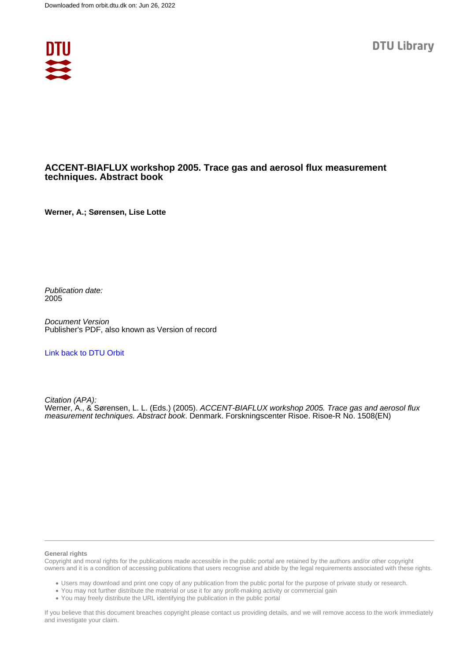

#### **ACCENT-BIAFLUX workshop 2005. Trace gas and aerosol flux measurement techniques. Abstract book**

**Werner, A.; Sørensen, Lise Lotte**

Publication date: 2005

Document Version Publisher's PDF, also known as Version of record

[Link back to DTU Orbit](https://orbit.dtu.dk/en/publications/6f2fbbe5-05b1-413e-832d-0b5281848812)

Citation (APA): Werner, A., & Sørensen, L. L. (Eds.) (2005). ACCENT-BIAFLUX workshop 2005. Trace gas and aerosol flux measurement techniques. Abstract book. Denmark. Forskningscenter Risoe. Risoe-R No. 1508(EN)

#### **General rights**

Copyright and moral rights for the publications made accessible in the public portal are retained by the authors and/or other copyright owners and it is a condition of accessing publications that users recognise and abide by the legal requirements associated with these rights.

Users may download and print one copy of any publication from the public portal for the purpose of private study or research.

- You may not further distribute the material or use it for any profit-making activity or commercial gain
- You may freely distribute the URL identifying the publication in the public portal

If you believe that this document breaches copyright please contact us providing details, and we will remove access to the work immediately and investigate your claim.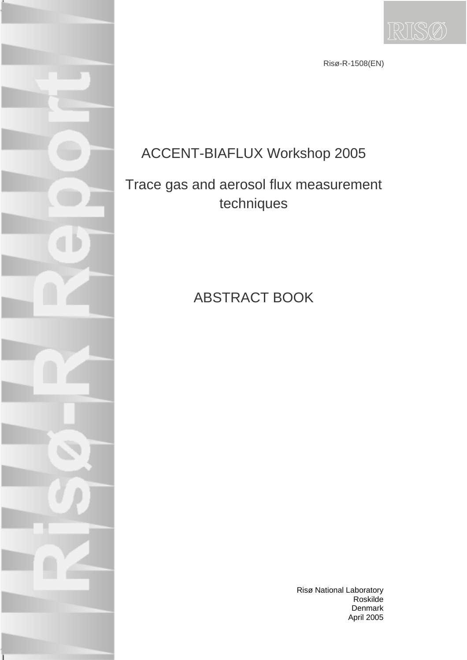

Risø-R-1508(EN)

# ACCENT-BIAFLUX Workshop 2005

# Trace gas and aerosol flux measurement techniques

# ABSTRACT BOOK

Risø National Laboratory Roskilde Denmark April 2005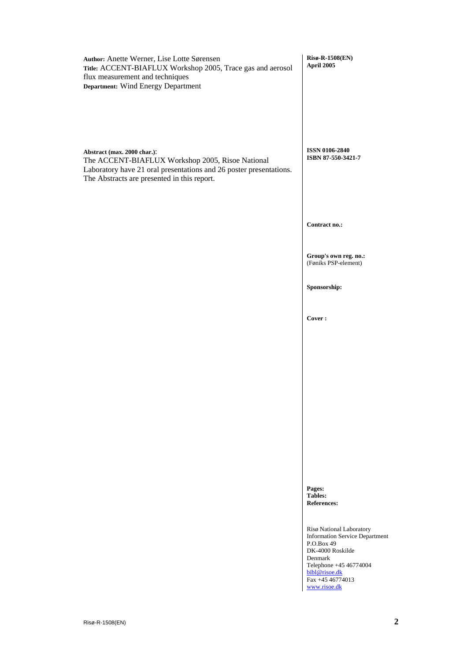| Author: Anette Werner, Lise Lotte Sørensen<br>Title: ACCENT-BIAFLUX Workshop 2005, Trace gas and aerosol<br>flux measurement and techniques<br>Department: Wind Energy Department                    | Risø-R-1508(EN)<br>April 2005                                                                                                                                                                 |
|------------------------------------------------------------------------------------------------------------------------------------------------------------------------------------------------------|-----------------------------------------------------------------------------------------------------------------------------------------------------------------------------------------------|
| Abstract (max. 2000 char.):<br>The ACCENT-BIAFLUX Workshop 2005, Risoe National<br>Laboratory have 21 oral presentations and 26 poster presentations.<br>The Abstracts are presented in this report. | <b>ISSN 0106-2840</b><br>ISBN 87-550-3421-7                                                                                                                                                   |
|                                                                                                                                                                                                      | Contract no.:                                                                                                                                                                                 |
|                                                                                                                                                                                                      | Group's own reg. no.:<br>(Føniks PSP-element)                                                                                                                                                 |
|                                                                                                                                                                                                      | Sponsorship:                                                                                                                                                                                  |
|                                                                                                                                                                                                      | Cover:                                                                                                                                                                                        |
|                                                                                                                                                                                                      |                                                                                                                                                                                               |
|                                                                                                                                                                                                      |                                                                                                                                                                                               |
|                                                                                                                                                                                                      |                                                                                                                                                                                               |
|                                                                                                                                                                                                      |                                                                                                                                                                                               |
|                                                                                                                                                                                                      | Pages:<br><b>Tables:</b><br><b>References:</b>                                                                                                                                                |
|                                                                                                                                                                                                      | Risø National Laboratory<br><b>Information Service Department</b><br>P.O.Box 49<br>DK-4000 Roskilde<br>Denmark<br>Telephone +45 46774004<br>bibl@risoe.dk<br>Fax +45 46774013<br>www.risoe.dk |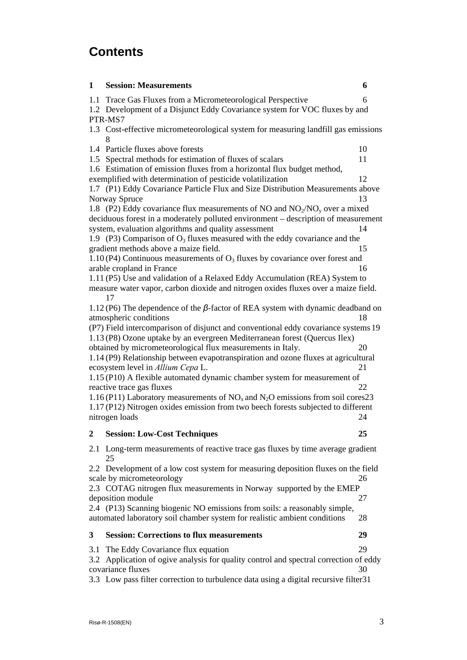## **Contents**

| 1                                                                          | <b>Session: Measurements</b>                                                                                 | 6  |  |
|----------------------------------------------------------------------------|--------------------------------------------------------------------------------------------------------------|----|--|
| 1.1                                                                        | Trace Gas Fluxes from a Micrometeorological Perspective                                                      | 6  |  |
| 1.2 Development of a Disjunct Eddy Covariance system for VOC fluxes by and |                                                                                                              |    |  |
|                                                                            | PTR-MS7                                                                                                      |    |  |
|                                                                            | 1.3 Cost-effective micrometeorological system for measuring landfill gas emissions<br>8                      |    |  |
|                                                                            | 1.4 Particle fluxes above forests                                                                            | 10 |  |
|                                                                            | 1.5 Spectral methods for estimation of fluxes of scalars                                                     | 11 |  |
|                                                                            | 1.6 Estimation of emission fluxes from a horizontal flux budget method,                                      |    |  |
|                                                                            | exemplified with determination of pesticide volatilization                                                   | 12 |  |
|                                                                            | 1.7 (P1) Eddy Covariance Particle Flux and Size Distribution Measurements above                              |    |  |
|                                                                            | Norway Spruce                                                                                                | 13 |  |
|                                                                            | 1.8 (P2) Eddy covariance flux measurements of NO and $NO2/NOy$ over a mixed                                  |    |  |
|                                                                            | deciduous forest in a moderately polluted environment - description of measurement                           |    |  |
|                                                                            | system, evaluation algorithms and quality assessment                                                         | 14 |  |
|                                                                            | 1.9 (P3) Comparison of $O_3$ fluxes measured with the eddy covariance and the                                |    |  |
|                                                                            | gradient methods above a maize field.                                                                        | 15 |  |
|                                                                            | 1.10 (P4) Continuous measurements of $O_3$ fluxes by covariance over forest and<br>arable cropland in France | 16 |  |
|                                                                            | 1.11 (P5) Use and validation of a Relaxed Eddy Accumulation (REA) System to                                  |    |  |
|                                                                            | measure water vapor, carbon dioxide and nitrogen oxides fluxes over a maize field.                           |    |  |
|                                                                            | 17                                                                                                           |    |  |
|                                                                            | 1.12 (P6) The dependence of the $\beta$ -factor of REA system with dynamic deadband on                       |    |  |
|                                                                            | atmospheric conditions                                                                                       | 18 |  |
|                                                                            | (P7) Field intercomparison of disjunct and conventional eddy covariance systems 19                           |    |  |
|                                                                            | 1.13 (P8) Ozone uptake by an evergreen Mediterranean forest (Quercus Ilex)                                   |    |  |
|                                                                            | obtained by micrometeorological flux measurements in Italy.                                                  | 20 |  |
|                                                                            | 1.14 (P9) Relationship between evapotranspiration and ozone fluxes at agricultural                           |    |  |
|                                                                            | ecosystem level in Allium Cepa L.                                                                            | 21 |  |
|                                                                            | 1.15 (P10) A flexible automated dynamic chamber system for measurement of                                    |    |  |
|                                                                            | reactive trace gas fluxes                                                                                    | 22 |  |
|                                                                            | 1.16 (P11) Laboratory measurements of $NOx$ and $N2O$ emissions from soil cores23                            |    |  |
|                                                                            | 1.17 (P12) Nitrogen oxides emission from two beech forests subjected to different                            |    |  |
|                                                                            | nitrogen loads                                                                                               | 24 |  |
| 2                                                                          | <b>Session: Low-Cost Techniques</b>                                                                          | 25 |  |
| 2.1                                                                        | Long-term measurements of reactive trace gas fluxes by time average gradient<br>25                           |    |  |
|                                                                            | 2.2 Development of a low cost system for measuring deposition fluxes on the field                            |    |  |
|                                                                            | scale by micrometeorology                                                                                    | 26 |  |
|                                                                            | 2.3 COTAG nitrogen flux measurements in Norway supported by the EMEP                                         |    |  |
|                                                                            | deposition module                                                                                            | 27 |  |
|                                                                            | 2.4 (P13) Scanning biogenic NO emissions from soils: a reasonably simple,                                    |    |  |
|                                                                            | automated laboratory soil chamber system for realistic ambient conditions                                    | 28 |  |
| 3                                                                          | <b>Session: Corrections to flux measurements</b>                                                             | 29 |  |
| 3.1                                                                        | The Eddy Covariance flux equation                                                                            | 29 |  |
|                                                                            | 3.2 Application of ogive analysis for quality control and spectral correction of eddy                        |    |  |
| covariance fluxes<br>30                                                    |                                                                                                              |    |  |
|                                                                            | 3.3 Low pass filter correction to turbulence data using a digital recursive filter 31                        |    |  |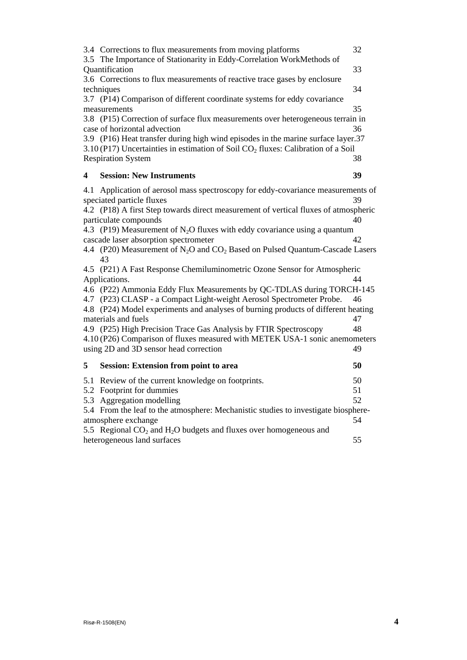|                                                                                   | 3.4 Corrections to flux measurements from moving platforms<br>3.5 The Importance of Stationarity in Eddy-Correlation WorkMethods of                                    | 32 |
|-----------------------------------------------------------------------------------|------------------------------------------------------------------------------------------------------------------------------------------------------------------------|----|
|                                                                                   | Quantification                                                                                                                                                         | 33 |
|                                                                                   | 3.6 Corrections to flux measurements of reactive trace gases by enclosure<br>techniques                                                                                | 34 |
|                                                                                   | 3.7 (P14) Comparison of different coordinate systems for eddy covariance                                                                                               |    |
|                                                                                   | measurements                                                                                                                                                           | 35 |
|                                                                                   | 3.8 (P15) Correction of surface flux measurements over heterogeneous terrain in                                                                                        |    |
|                                                                                   | case of horizontal advection                                                                                                                                           | 36 |
|                                                                                   | 3.9 (P16) Heat transfer during high wind episodes in the marine surface layer.37<br>3.10 (P17) Uncertainties in estimation of Soil $CO2$ fluxes: Calibration of a Soil |    |
|                                                                                   | <b>Respiration System</b>                                                                                                                                              | 38 |
|                                                                                   |                                                                                                                                                                        |    |
| 4                                                                                 | <b>Session: New Instruments</b>                                                                                                                                        | 39 |
| 4.1                                                                               | Application of aerosol mass spectroscopy for eddy-covariance measurements of                                                                                           |    |
|                                                                                   | speciated particle fluxes                                                                                                                                              | 39 |
|                                                                                   | 4.2 (P18) A first Step towards direct measurement of vertical fluxes of atmospheric                                                                                    |    |
|                                                                                   | particulate compounds                                                                                                                                                  | 40 |
|                                                                                   | 4.3 (P19) Measurement of $N_2O$ fluxes with eddy covariance using a quantum                                                                                            |    |
|                                                                                   | cascade laser absorption spectrometer<br>4.4 (P20) Measurement of N <sub>2</sub> O and CO <sub>2</sub> Based on Pulsed Quantum-Cascade Lasers                          | 42 |
|                                                                                   | 43                                                                                                                                                                     |    |
|                                                                                   | 4.5 (P21) A Fast Response Chemiluminometric Ozone Sensor for Atmospheric                                                                                               |    |
|                                                                                   | Applications.                                                                                                                                                          | 44 |
|                                                                                   | 4.6 (P22) Ammonia Eddy Flux Measurements by QC-TDLAS during TORCH-145                                                                                                  |    |
|                                                                                   | 4.7 (P23) CLASP - a Compact Light-weight Aerosol Spectrometer Probe.                                                                                                   | 46 |
| 4.8 (P24) Model experiments and analyses of burning products of different heating |                                                                                                                                                                        |    |
|                                                                                   | materials and fuels                                                                                                                                                    | 47 |
|                                                                                   | 4.9 (P25) High Precision Trace Gas Analysis by FTIR Spectroscopy                                                                                                       | 48 |
|                                                                                   | 4.10 (P26) Comparison of fluxes measured with METEK USA-1 sonic anemometers                                                                                            |    |
|                                                                                   | using 2D and 3D sensor head correction                                                                                                                                 | 49 |
| 5                                                                                 | <b>Session: Extension from point to area</b>                                                                                                                           | 50 |
| 5.1                                                                               | Review of the current knowledge on footprints.                                                                                                                         | 50 |
|                                                                                   | 5.2 Footprint for dummies                                                                                                                                              | 51 |
| 5.3                                                                               | Aggregation modelling                                                                                                                                                  | 52 |
|                                                                                   | 5.4 From the leaf to the atmosphere: Mechanistic studies to investigate biosphere-                                                                                     |    |
|                                                                                   | atmosphere exchange                                                                                                                                                    | 54 |
|                                                                                   | 5.5 Regional $CO2$ and $H2O$ budgets and fluxes over homogeneous and                                                                                                   |    |
|                                                                                   | heterogeneous land surfaces                                                                                                                                            | 55 |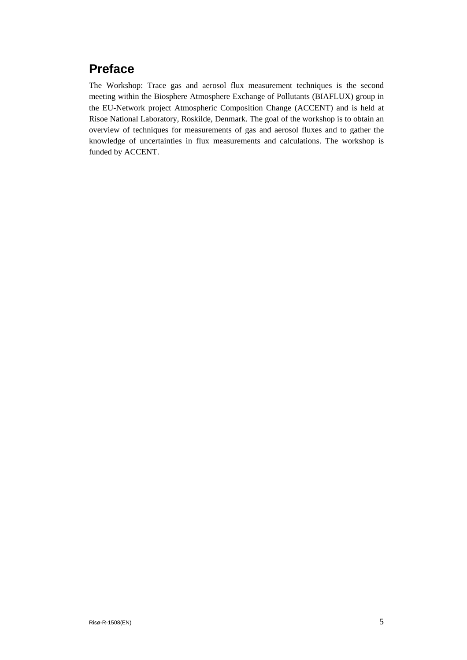## **Preface**

The Workshop: Trace gas and aerosol flux measurement techniques is the second meeting within the Biosphere Atmosphere Exchange of Pollutants (BIAFLUX) group in the EU-Network project Atmospheric Composition Change (ACCENT) and is held at Risoe National Laboratory, Roskilde, Denmark. The goal of the workshop is to obtain an overview of techniques for measurements of gas and aerosol fluxes and to gather the knowledge of uncertainties in flux measurements and calculations. The workshop is funded by ACCENT.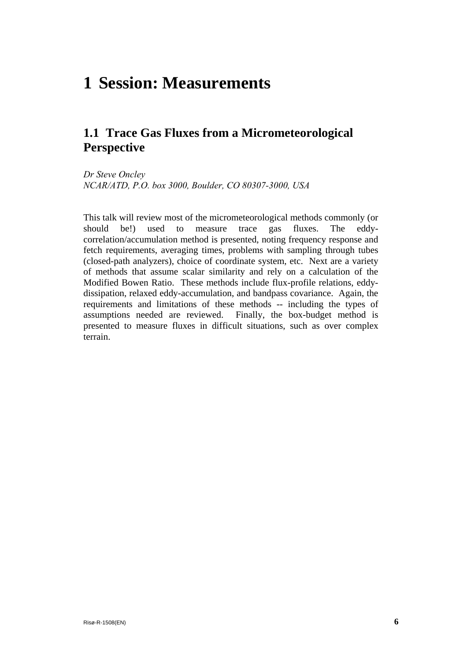# <span id="page-6-0"></span>**1 Session: Measurements**

## **1.1 Trace Gas Fluxes from a Micrometeorological Perspective**

*Dr Steve Oncley NCAR/ATD, P.O. box 3000, Boulder, CO 80307-3000, USA* 

This talk will review most of the micrometeorological methods commonly (or should be!) used to measure trace gas fluxes. The eddycorrelation/accumulation method is presented, noting frequency response and fetch requirements, averaging times, problems with sampling through tubes (closed-path analyzers), choice of coordinate system, etc. Next are a variety of methods that assume scalar similarity and rely on a calculation of the Modified Bowen Ratio. These methods include flux-profile relations, eddydissipation, relaxed eddy-accumulation, and bandpass covariance. Again, the requirements and limitations of these methods -- including the types of assumptions needed are reviewed. Finally, the box-budget method is presented to measure fluxes in difficult situations, such as over complex terrain.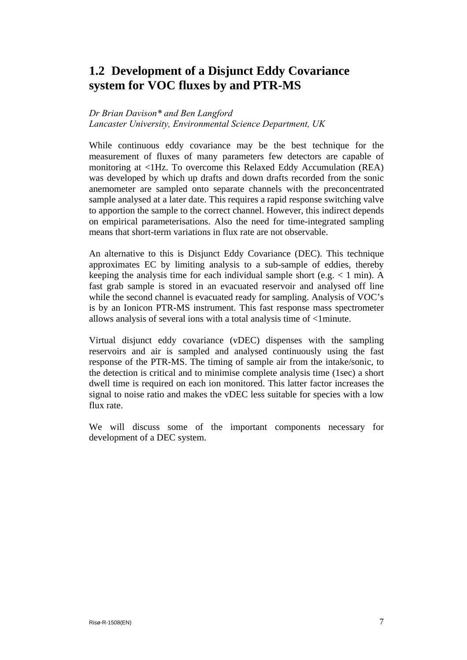## <span id="page-7-0"></span>**1.2 Development of a Disjunct Eddy Covariance system for VOC fluxes by and PTR-MS**

#### *Dr Brian Davison\* and Ben Langford*

*Lancaster University, Environmental Science Department, UK* 

While continuous eddy covariance may be the best technique for the measurement of fluxes of many parameters few detectors are capable of monitoring at <1Hz. To overcome this Relaxed Eddy Accumulation (REA) was developed by which up drafts and down drafts recorded from the sonic anemometer are sampled onto separate channels with the preconcentrated sample analysed at a later date. This requires a rapid response switching valve to apportion the sample to the correct channel. However, this indirect depends on empirical parameterisations. Also the need for time-integrated sampling means that short-term variations in flux rate are not observable.

An alternative to this is Disjunct Eddy Covariance (DEC). This technique approximates EC by limiting analysis to a sub-sample of eddies, thereby keeping the analysis time for each individual sample short (e.g.  $< 1$  min). A fast grab sample is stored in an evacuated reservoir and analysed off line while the second channel is evacuated ready for sampling. Analysis of VOC's is by an Ionicon PTR-MS instrument. This fast response mass spectrometer allows analysis of several ions with a total analysis time of <1minute.

Virtual disjunct eddy covariance (vDEC) dispenses with the sampling reservoirs and air is sampled and analysed continuously using the fast response of the PTR-MS. The timing of sample air from the intake/sonic, to the detection is critical and to minimise complete analysis time (1sec) a short dwell time is required on each ion monitored. This latter factor increases the signal to noise ratio and makes the vDEC less suitable for species with a low flux rate.

We will discuss some of the important components necessary for development of a DEC system.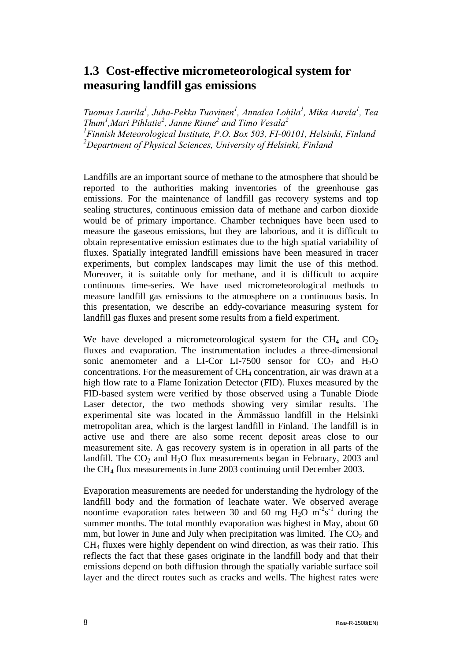## <span id="page-8-0"></span>**1.3 Cost-effective micrometeorological system for measuring landfill gas emissions**

*Tuomas Laurila<sup>1</sup>*, Juha-Pekka Tuovinen<sup>1</sup>, Annalea Lohila<sup>1</sup>, Mika Aurela<sup>1</sup>, Tea *Thum1 ,Mari Pihlatie2 , Janne Rinne2 and Timo Vesala2* <sup>1</sup> Finnish Meteorological Institute, P.O. Box 503, FI-00101, Helsinki, Finland *2 Department of Physical Sciences, University of Helsinki, Finland* 

Landfills are an important source of methane to the atmosphere that should be reported to the authorities making inventories of the greenhouse gas emissions. For the maintenance of landfill gas recovery systems and top sealing structures, continuous emission data of methane and carbon dioxide would be of primary importance. Chamber techniques have been used to measure the gaseous emissions, but they are laborious, and it is difficult to obtain representative emission estimates due to the high spatial variability of fluxes. Spatially integrated landfill emissions have been measured in tracer experiments, but complex landscapes may limit the use of this method. Moreover, it is suitable only for methane, and it is difficult to acquire continuous time-series. We have used micrometeorological methods to measure landfill gas emissions to the atmosphere on a continuous basis. In this presentation, we describe an eddy-covariance measuring system for landfill gas fluxes and present some results from a field experiment.

We have developed a micrometeorological system for the  $CH<sub>4</sub>$  and  $CO<sub>2</sub>$ fluxes and evaporation. The instrumentation includes a three-dimensional sonic anemometer and a LI-Cor LI-7500 sensor for  $CO<sub>2</sub>$  and  $H<sub>2</sub>O$ concentrations. For the measurement of  $CH<sub>4</sub>$  concentration, air was drawn at a high flow rate to a Flame Ionization Detector (FID). Fluxes measured by the FID-based system were verified by those observed using a Tunable Diode Laser detector, the two methods showing very similar results. The experimental site was located in the Ämmässuo landfill in the Helsinki metropolitan area, which is the largest landfill in Finland. The landfill is in active use and there are also some recent deposit areas close to our measurement site. A gas recovery system is in operation in all parts of the landfill. The  $CO<sub>2</sub>$  and  $H<sub>2</sub>O$  flux measurements began in February, 2003 and the CH4 flux measurements in June 2003 continuing until December 2003.

Evaporation measurements are needed for understanding the hydrology of the landfill body and the formation of leachate water. We observed average noontime evaporation rates between 30 and 60 mg  $H_2O$  m<sup>-2</sup>s<sup>-1</sup> during the summer months. The total monthly evaporation was highest in May, about 60 mm, but lower in June and July when precipitation was limited. The  $CO<sub>2</sub>$  and CH4 fluxes were highly dependent on wind direction, as was their ratio. This reflects the fact that these gases originate in the landfill body and that their emissions depend on both diffusion through the spatially variable surface soil layer and the direct routes such as cracks and wells. The highest rates were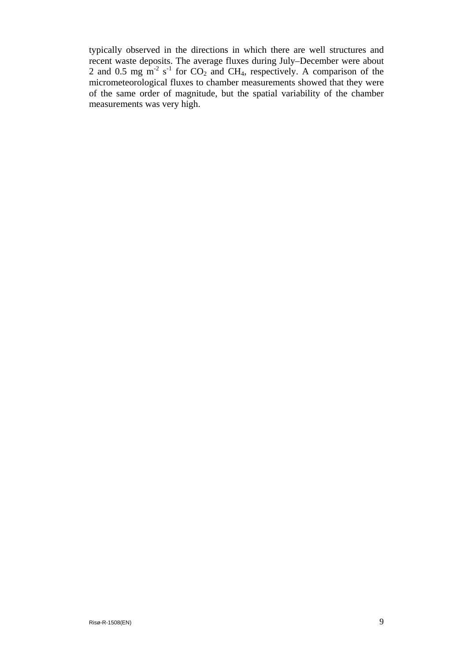typically observed in the directions in which there are well structures and recent waste deposits. The average fluxes during July–December were about 2 and 0.5 mg  $\text{m}^2$  s<sup>-1</sup> for CO<sub>2</sub> and CH<sub>4</sub>, respectively. A comparison of the micrometeorological fluxes to chamber measurements showed that they were of the same order of magnitude, but the spatial variability of the chamber measurements was very high.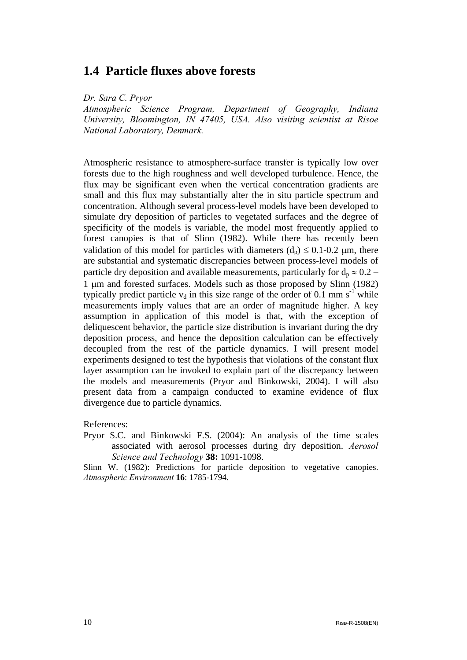### <span id="page-10-0"></span>**1.4 Particle fluxes above forests**

*Dr. Sara C. Pryor* 

*Atmospheric Science Program, Department of Geography, Indiana University, Bloomington, IN 47405, USA. Also visiting scientist at Risoe National Laboratory, Denmark.*

Atmospheric resistance to atmosphere-surface transfer is typically low over forests due to the high roughness and well developed turbulence. Hence, the flux may be significant even when the vertical concentration gradients are small and this flux may substantially alter the in situ particle spectrum and concentration. Although several process-level models have been developed to simulate dry deposition of particles to vegetated surfaces and the degree of specificity of the models is variable, the model most frequently applied to forest canopies is that of Slinn (1982). While there has recently been validation of this model for particles with diameters  $(d_p) \le 0.1$ -0.2 µm, there are substantial and systematic discrepancies between process-level models of particle dry deposition and available measurements, particularly for  $d_p \approx 0.2$  – 1 µm and forested surfaces. Models such as those proposed by Slinn (1982) typically predict particle  $v_d$  in this size range of the order of 0.1 mm s<sup>-1</sup> while measurements imply values that are an order of magnitude higher. A key assumption in application of this model is that, with the exception of deliquescent behavior, the particle size distribution is invariant during the dry deposition process, and hence the deposition calculation can be effectively decoupled from the rest of the particle dynamics. I will present model experiments designed to test the hypothesis that violations of the constant flux layer assumption can be invoked to explain part of the discrepancy between the models and measurements (Pryor and Binkowski, 2004). I will also present data from a campaign conducted to examine evidence of flux divergence due to particle dynamics.

References:

Pryor S.C. and Binkowski F.S. (2004): An analysis of the time scales associated with aerosol processes during dry deposition. *Aerosol Science and Technology* **38:** 1091-1098.

Slinn W. (1982): Predictions for particle deposition to vegetative canopies. *Atmospheric Environment* **16**: 1785-1794.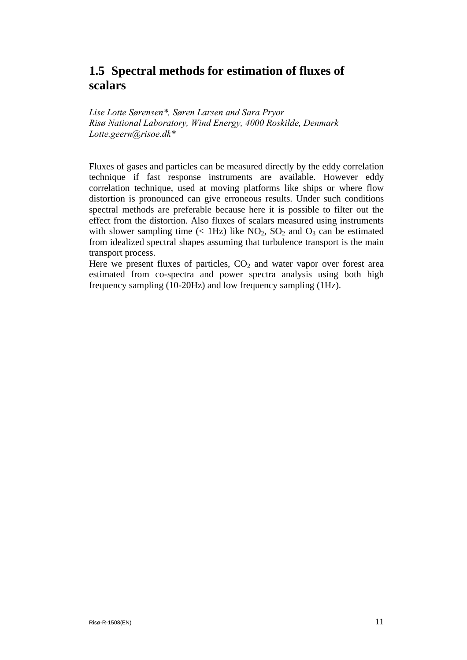## <span id="page-11-0"></span>**1.5 Spectral methods for estimation of fluxes of scalars**

*Lise Lotte Sørensen\*, Søren Larsen and Sara Pryor Risø National Laboratory, Wind Energy, 4000 Roskilde, Denmark Lotte.geern@risoe.dk\**

Fluxes of gases and particles can be measured directly by the eddy correlation technique if fast response instruments are available. However eddy correlation technique, used at moving platforms like ships or where flow distortion is pronounced can give erroneous results. Under such conditions spectral methods are preferable because here it is possible to filter out the effect from the distortion. Also fluxes of scalars measured using instruments with slower sampling time  $\ll$  1Hz) like NO<sub>2</sub>, SO<sub>2</sub> and O<sub>3</sub> can be estimated from idealized spectral shapes assuming that turbulence transport is the main transport process.

Here we present fluxes of particles,  $CO<sub>2</sub>$  and water vapor over forest area estimated from co-spectra and power spectra analysis using both high frequency sampling (10-20Hz) and low frequency sampling (1Hz).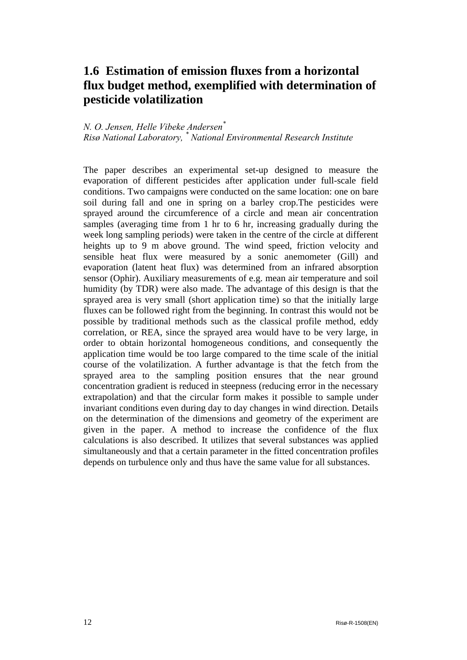## <span id="page-12-0"></span>**1.6 Estimation of emission fluxes from a horizontal flux budget method, exemplified with determination of pesticide volatilization**

#### *N. O. Jensen, Helle Vibeke Andersen\* Risø National Laboratory, \* National Environmental Research Institute*

The paper describes an experimental set-up designed to measure the evaporation of different pesticides after application under full-scale field conditions. Two campaigns were conducted on the same location: one on bare soil during fall and one in spring on a barley crop.The pesticides were sprayed around the circumference of a circle and mean air concentration samples (averaging time from 1 hr to 6 hr, increasing gradually during the week long sampling periods) were taken in the centre of the circle at different heights up to 9 m above ground. The wind speed, friction velocity and sensible heat flux were measured by a sonic anemometer (Gill) and evaporation (latent heat flux) was determined from an infrared absorption sensor (Ophir). Auxiliary measurements of e.g. mean air temperature and soil humidity (by TDR) were also made. The advantage of this design is that the sprayed area is very small (short application time) so that the initially large fluxes can be followed right from the beginning. In contrast this would not be possible by traditional methods such as the classical profile method, eddy correlation, or REA, since the sprayed area would have to be very large, in order to obtain horizontal homogeneous conditions, and consequently the application time would be too large compared to the time scale of the initial course of the volatilization. A further advantage is that the fetch from the sprayed area to the sampling position ensures that the near ground concentration gradient is reduced in steepness (reducing error in the necessary extrapolation) and that the circular form makes it possible to sample under invariant conditions even during day to day changes in wind direction. Details on the determination of the dimensions and geometry of the experiment are given in the paper. A method to increase the confidence of the flux calculations is also described. It utilizes that several substances was applied simultaneously and that a certain parameter in the fitted concentration profiles depends on turbulence only and thus have the same value for all substances.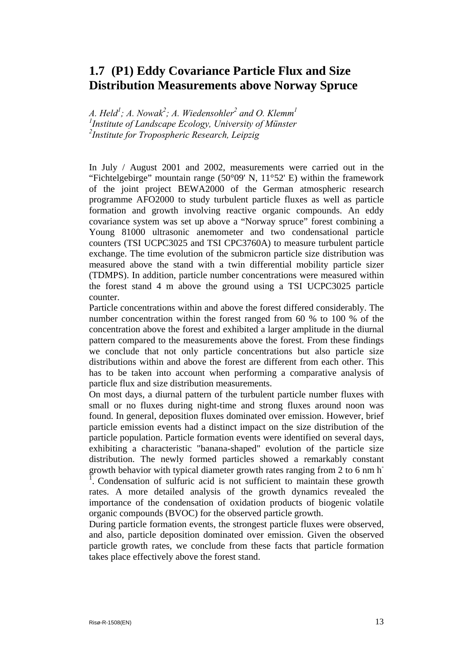## <span id="page-13-0"></span>**1.7 (P1) Eddy Covariance Particle Flux and Size Distribution Measurements above Norway Spruce**

A. Held<sup>1</sup>; A. Nowak<sup>2</sup>; A. Wiedensohler<sup>2</sup> and O. Klemm<sup>1</sup> *1 Institute of Landscape Ecology, University of Münster 2 Institute for Tropospheric Research, Leipzig* 

In July / August 2001 and 2002, measurements were carried out in the "Fichtelgebirge" mountain range  $(50^{\circ}09' \text{ N}, 11^{\circ}52' \text{ E})$  within the framework of the joint project BEWA2000 of the German atmospheric research programme AFO2000 to study turbulent particle fluxes as well as particle formation and growth involving reactive organic compounds. An eddy covariance system was set up above a "Norway spruce" forest combining a Young 81000 ultrasonic anemometer and two condensational particle counters (TSI UCPC3025 and TSI CPC3760A) to measure turbulent particle exchange. The time evolution of the submicron particle size distribution was measured above the stand with a twin differential mobility particle sizer (TDMPS). In addition, particle number concentrations were measured within the forest stand 4 m above the ground using a TSI UCPC3025 particle counter.

Particle concentrations within and above the forest differed considerably. The number concentration within the forest ranged from 60 % to 100 % of the concentration above the forest and exhibited a larger amplitude in the diurnal pattern compared to the measurements above the forest. From these findings we conclude that not only particle concentrations but also particle size distributions within and above the forest are different from each other. This has to be taken into account when performing a comparative analysis of particle flux and size distribution measurements.

On most days, a diurnal pattern of the turbulent particle number fluxes with small or no fluxes during night-time and strong fluxes around noon was found. In general, deposition fluxes dominated over emission. However, brief particle emission events had a distinct impact on the size distribution of the particle population. Particle formation events were identified on several days, exhibiting a characteristic "banana-shaped" evolution of the particle size distribution. The newly formed particles showed a remarkably constant growth behavior with typical diameter growth rates ranging from  $2$  to 6 nm h<sup>-1</sup> . Condensation of sulfuric acid is not sufficient to maintain these growth rates. A more detailed analysis of the growth dynamics revealed the importance of the condensation of oxidation products of biogenic volatile organic compounds (BVOC) for the observed particle growth.

During particle formation events, the strongest particle fluxes were observed, and also, particle deposition dominated over emission. Given the observed particle growth rates, we conclude from these facts that particle formation takes place effectively above the forest stand.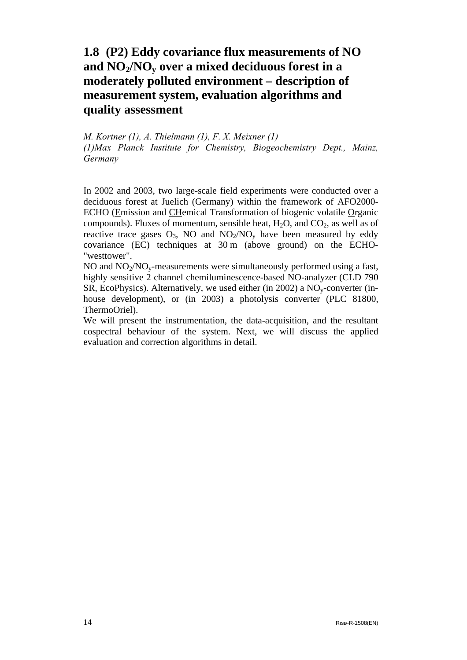## <span id="page-14-0"></span>**1.8 (P2) Eddy covariance flux measurements of NO and NO2/NOy over a mixed deciduous forest in a moderately polluted environment – description of measurement system, evaluation algorithms and quality assessment**

*M. Kortner (1), A. Thielmann (1), F. X. Meixner (1) (1)Max Planck Institute for Chemistry, Biogeochemistry Dept., Mainz, Germany* 

In 2002 and 2003, two large-scale field experiments were conducted over a deciduous forest at Juelich (Germany) within the framework of AFO2000- ECHO (Emission and CHemical Transformation of biogenic volatile Organic compounds). Fluxes of momentum, sensible heat,  $H_2O$ , and  $CO_2$ , as well as of reactive trace gases  $O_3$ , NO and  $NO_2/NO_v$  have been measured by eddy covariance (EC) techniques at 30 m (above ground) on the ECHO- "westtower".

NO and  $NO<sub>2</sub>/NO<sub>v</sub>$ -measurements were simultaneously performed using a fast, highly sensitive 2 channel chemiluminescence-based NO-analyzer (CLD 790 SR, EcoPhysics). Alternatively, we used either (in 2002) a  $NO<sub>v</sub>$ -converter (inhouse development), or (in 2003) a photolysis converter (PLC 81800, ThermoOriel).

We will present the instrumentation, the data-acquisition, and the resultant cospectral behaviour of the system. Next, we will discuss the applied evaluation and correction algorithms in detail.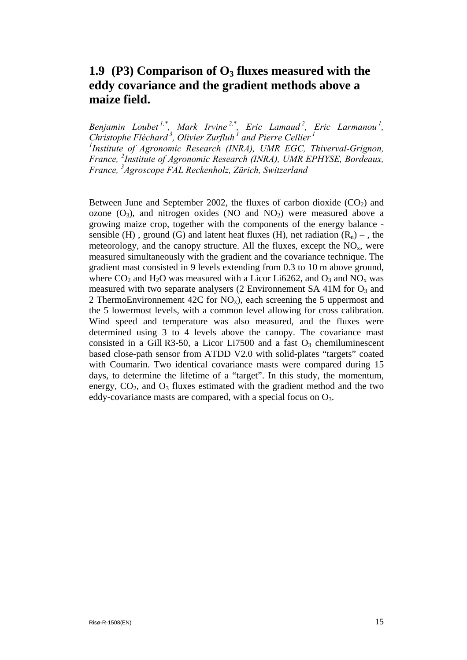## <span id="page-15-0"></span>**1.9** (P3) Comparison of O<sub>3</sub> fluxes measured with the **eddy covariance and the gradient methods above a maize field.**

*Benjamin Loubet 1,\* , Mark Irvine 2,\* , Eric Lamaud 2, Eric Larmanou 1, Christophe Fléchard 3, Olivier Zurfluh <sup>1</sup> and Pierre Cellier <sup>1</sup> 1 Institute of Agronomic Research (INRA), UMR EGC, Thiverval-Grignon, France, <sup>2</sup> Institute of Agronomic Research (INRA), UMR EPHYSE, Bordeaux, France, 3 Agroscope FAL Reckenholz, Zürich, Switzerland*

Between June and September 2002, the fluxes of carbon dioxide  $(CO<sub>2</sub>)$  and ozone  $(O_3)$ , and nitrogen oxides (NO and NO<sub>2</sub>) were measured above a growing maize crop, together with the components of the energy balance sensible (H), ground (G) and latent heat fluxes (H), net radiation  $(R_n)$  –, the meteorology, and the canopy structure. All the fluxes, except the  $NO<sub>x</sub>$ , were measured simultaneously with the gradient and the covariance technique. The gradient mast consisted in 9 levels extending from 0.3 to 10 m above ground, where  $CO_2$  and  $H_2O$  was measured with a Licor Li6262, and  $O_3$  and  $NO_x$  was measured with two separate analysers (2 Environmement SA 41M for  $O_3$  and 2 ThermoEnvironnement 42C for  $NO_x$ ), each screening the 5 uppermost and the 5 lowermost levels, with a common level allowing for cross calibration. Wind speed and temperature was also measured, and the fluxes were determined using 3 to 4 levels above the canopy. The covariance mast consisted in a Gill R3-50, a Licor Li7500 and a fast  $O_3$  chemiluminescent based close-path sensor from ATDD V2.0 with solid-plates "targets" coated with Coumarin. Two identical covariance masts were compared during 15 days, to determine the lifetime of a "target". In this study, the momentum, energy,  $CO<sub>2</sub>$ , and  $O<sub>3</sub>$  fluxes estimated with the gradient method and the two eddy-covariance masts are compared, with a special focus on  $O_3$ .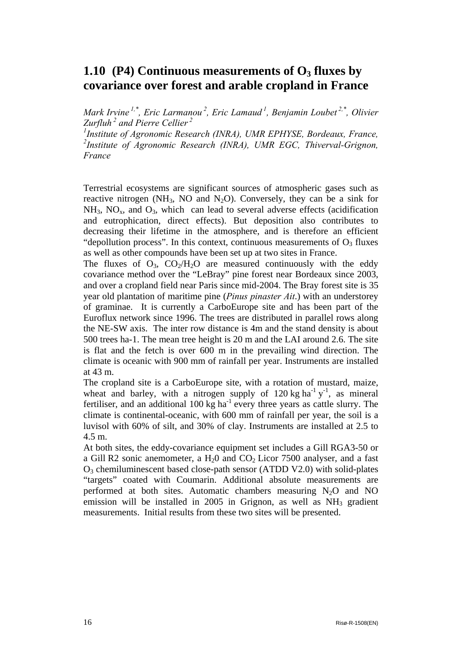## <span id="page-16-0"></span>**1.10** (P4) Continuous measurements of  $O_3$  fluxes by **covariance over forest and arable cropland in France**

*Mark Irvine*<sup>1,\*</sup>, *Eric Larmanou<sup>2</sup>, Eric Lamaud*<sup>1</sup>, *Benjamin Loubet*<sup>2,\*</sup>, *Olivier Zurfluh <sup>2</sup> and Pierre Cellier <sup>2</sup>*

<sup>1</sup> Institute of Agronomic Research (INRA), UMR EPHYSE, Bordeaux, France, *2 Institute of Agronomic Research (INRA), UMR EGC, Thiverval-Grignon, France*

Terrestrial ecosystems are significant sources of atmospheric gases such as reactive nitrogen (NH<sub>3</sub>, NO and N<sub>2</sub>O). Conversely, they can be a sink for  $NH_3$ ,  $NO_x$ , and  $O_3$ , which can lead to several adverse effects (acidification and eutrophication, direct effects). But deposition also contributes to decreasing their lifetime in the atmosphere, and is therefore an efficient "depollution process". In this context, continuous measurements of  $O<sub>3</sub>$  fluxes as well as other compounds have been set up at two sites in France.

The fluxes of  $O_3$ ,  $CO_2/H_2O$  are measured continuously with the eddy covariance method over the "LeBray" pine forest near Bordeaux since 2003, and over a cropland field near Paris since mid-2004. The Bray forest site is 35 year old plantation of maritime pine (*Pinus pinaster Ait*.) with an understorey of graminae. It is currently a CarboEurope site and has been part of the Euroflux network since 1996. The trees are distributed in parallel rows along the NE-SW axis. The inter row distance is 4m and the stand density is about 500 trees ha-1. The mean tree height is 20 m and the LAI around 2.6. The site is flat and the fetch is over 600 m in the prevailing wind direction. The climate is oceanic with 900 mm of rainfall per year. Instruments are installed at 43 m.

The cropland site is a CarboEurope site, with a rotation of mustard, maize, wheat and barley, with a nitrogen supply of  $120 \text{ kg ha}^{-1} \text{ y}^{-1}$ , as mineral fertiliser, and an additional  $100 \text{ kg}$  ha<sup>-1</sup> every three years as cattle slurry. The climate is continental-oceanic, with 600 mm of rainfall per year, the soil is a luvisol with 60% of silt, and 30% of clay. Instruments are installed at 2.5 to 4.5 m.

At both sites, the eddy-covariance equipment set includes a Gill RGA3-50 or a Gill R2 sonic anemometer, a  $H_2$ 0 and  $CO_2$  Licor 7500 analyser, and a fast O3 chemiluminescent based close-path sensor (ATDD V2.0) with solid-plates "targets" coated with Coumarin. Additional absolute measurements are performed at both sites. Automatic chambers measuring  $N_2O$  and NO emission will be installed in 2005 in Grignon, as well as  $NH_3$  gradient measurements. Initial results from these two sites will be presented.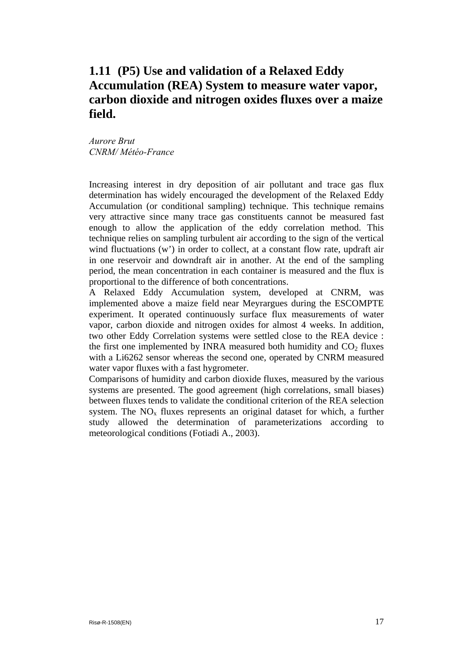## <span id="page-17-0"></span>**1.11 (P5) Use and validation of a Relaxed Eddy Accumulation (REA) System to measure water vapor, carbon dioxide and nitrogen oxides fluxes over a maize field.**

*Aurore Brut CNRM/ Météo-France* 

Increasing interest in dry deposition of air pollutant and trace gas flux determination has widely encouraged the development of the Relaxed Eddy Accumulation (or conditional sampling) technique. This technique remains very attractive since many trace gas constituents cannot be measured fast enough to allow the application of the eddy correlation method. This technique relies on sampling turbulent air according to the sign of the vertical wind fluctuations (w') in order to collect, at a constant flow rate, updraft air in one reservoir and downdraft air in another. At the end of the sampling period, the mean concentration in each container is measured and the flux is proportional to the difference of both concentrations.

A Relaxed Eddy Accumulation system, developed at CNRM, was implemented above a maize field near Meyrargues during the ESCOMPTE experiment. It operated continuously surface flux measurements of water vapor, carbon dioxide and nitrogen oxides for almost 4 weeks. In addition, two other Eddy Correlation systems were settled close to the REA device : the first one implemented by INRA measured both humidity and  $CO<sub>2</sub>$  fluxes with a Li6262 sensor whereas the second one, operated by CNRM measured water vapor fluxes with a fast hygrometer.

Comparisons of humidity and carbon dioxide fluxes, measured by the various systems are presented. The good agreement (high correlations, small biases) between fluxes tends to validate the conditional criterion of the REA selection system. The  $NO<sub>x</sub>$  fluxes represents an original dataset for which, a further study allowed the determination of parameterizations according to meteorological conditions (Fotiadi A., 2003).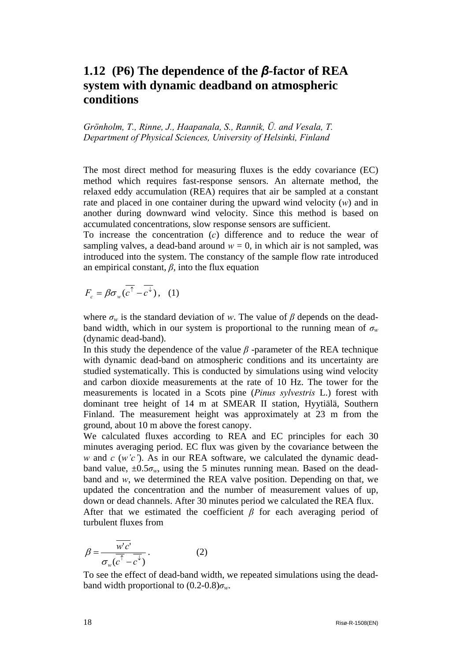## <span id="page-18-0"></span>**1.12 (P6) The dependence of the** *β***-factor of REA system with dynamic deadband on atmospheric conditions**

*Grönholm, T., Rinne, J., Haapanala, S., Rannik, Ü. and Vesala, T. Department of Physical Sciences, University of Helsinki, Finland* 

The most direct method for measuring fluxes is the eddy covariance (EC) method which requires fast-response sensors. An alternate method, the relaxed eddy accumulation (REA) requires that air be sampled at a constant rate and placed in one container during the upward wind velocity (*w*) and in another during downward wind velocity. Since this method is based on accumulated concentrations, slow response sensors are sufficient.

To increase the concentration (*c*) difference and to reduce the wear of sampling valves, a dead-band around  $w = 0$ , in which air is not sampled, was introduced into the system. The constancy of the sample flow rate introduced an empirical constant,  $\beta$ , into the flux equation

$$
F_c = \beta \sigma_w (\overline{c^+} - \overline{c^+}), \quad (1)
$$

where  $\sigma_w$  is the standard deviation of *w*. The value of  $\beta$  depends on the deadband width, which in our system is proportional to the running mean of  $\sigma_w$ (dynamic dead-band).

In this study the dependence of the value  $\beta$  -parameter of the REA technique with dynamic dead-band on atmospheric conditions and its uncertainty are studied systematically. This is conducted by simulations using wind velocity and carbon dioxide measurements at the rate of 10 Hz. The tower for the measurements is located in a Scots pine (*Pinus sylvestris* L.) forest with dominant tree height of 14 m at SMEAR II station, Hyytiälä, Southern Finland. The measurement height was approximately at 23 m from the ground, about 10 m above the forest canopy.

We calculated fluxes according to REA and EC principles for each 30 minutes averaging period. EC flux was given by the covariance between the *w* and *c* (*w'c'*). As in our REA software, we calculated the dynamic deadband value,  $\pm 0.5\sigma_w$ , using the 5 minutes running mean. Based on the deadband and *w*, we determined the REA valve position. Depending on that, we updated the concentration and the number of measurement values of up, down or dead channels. After 30 minutes period we calculated the REA flux. After that we estimated the coefficient *β* for each averaging period of turbulent fluxes from

$$
\beta = \frac{\overline{w'c'}}{\sigma_w(\overline{c}^{\uparrow} - \overline{c^{\downarrow}})}.
$$
 (2)

To see the effect of dead-band width, we repeated simulations using the deadband width proportional to  $(0.2\n-0.8)\sigma_w$ .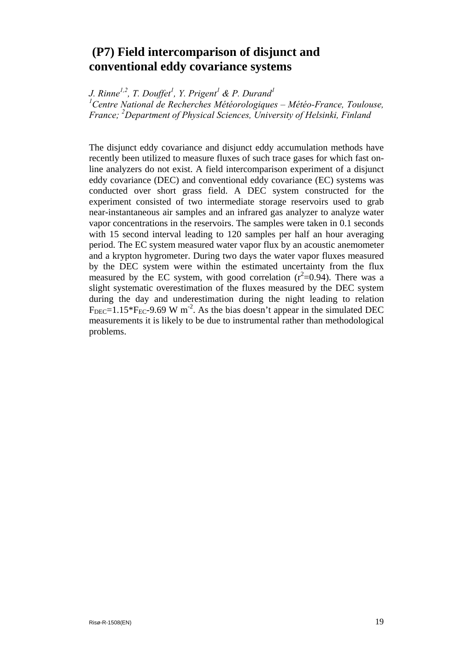## <span id="page-19-0"></span> **(P7) Field intercomparison of disjunct and conventional eddy covariance systems**

*J. Rinne<sup>1,2</sup>, T. Douffet<sup>1</sup>, Y. Prigent<sup>1</sup> & P. Durand<sup>1</sup>* 

<sup>1</sup> Centre National de Recherches Météorologiques – Météo-France, Toulouse, *France; 2 Department of Physical Sciences, University of Helsinki, Finland* 

The disjunct eddy covariance and disjunct eddy accumulation methods have recently been utilized to measure fluxes of such trace gases for which fast online analyzers do not exist. A field intercomparison experiment of a disjunct eddy covariance (DEC) and conventional eddy covariance (EC) systems was conducted over short grass field. A DEC system constructed for the experiment consisted of two intermediate storage reservoirs used to grab near-instantaneous air samples and an infrared gas analyzer to analyze water vapor concentrations in the reservoirs. The samples were taken in 0.1 seconds with 15 second interval leading to 120 samples per half an hour averaging period. The EC system measured water vapor flux by an acoustic anemometer and a krypton hygrometer. During two days the water vapor fluxes measured by the DEC system were within the estimated uncertainty from the flux measured by the EC system, with good correlation  $(r^2=0.94)$ . There was a slight systematic overestimation of the fluxes measured by the DEC system during the day and underestimation during the night leading to relation  $F_{DEC}$ =1.15\* $F_{EC}$ -9.69 W m<sup>-2</sup>. As the bias doesn't appear in the simulated DEC measurements it is likely to be due to instrumental rather than methodological problems.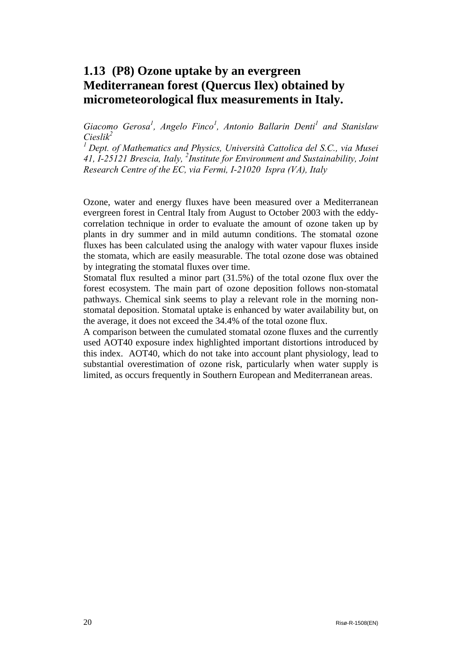## <span id="page-20-0"></span>**1.13 (P8) Ozone uptake by an evergreen Mediterranean forest (Quercus Ilex) obtained by micrometeorological flux measurements in Italy.**

Giacomo Gerosa<sup>1</sup>, Angelo Finco<sup>1</sup>, Antonio Ballarin Denti<sup>1</sup> and Stanislaw *Cieslik2* 

*1 Dept. of Mathematics and Physics, Università Cattolica del S.C., via Musei 41, I-25121 Brescia, Italy, 2 Institute for Environment and Sustainability, Joint Research Centre of the EC, via Fermi, I-21020 Ispra (VA), Italy*

Ozone, water and energy fluxes have been measured over a Mediterranean evergreen forest in Central Italy from August to October 2003 with the eddycorrelation technique in order to evaluate the amount of ozone taken up by plants in dry summer and in mild autumn conditions. The stomatal ozone fluxes has been calculated using the analogy with water vapour fluxes inside the stomata, which are easily measurable. The total ozone dose was obtained by integrating the stomatal fluxes over time.

Stomatal flux resulted a minor part (31.5%) of the total ozone flux over the forest ecosystem. The main part of ozone deposition follows non-stomatal pathways. Chemical sink seems to play a relevant role in the morning nonstomatal deposition. Stomatal uptake is enhanced by water availability but, on the average, it does not exceed the 34.4% of the total ozone flux.

A comparison between the cumulated stomatal ozone fluxes and the currently used AOT40 exposure index highlighted important distortions introduced by this index. AOT40, which do not take into account plant physiology, lead to substantial overestimation of ozone risk, particularly when water supply is limited, as occurs frequently in Southern European and Mediterranean areas.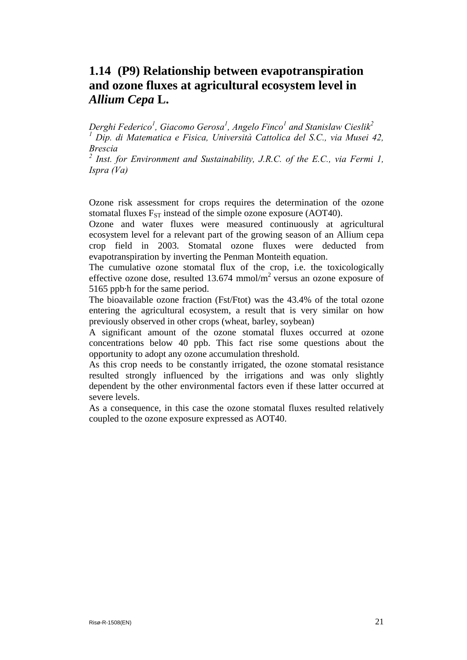## <span id="page-21-0"></span>**1.14 (P9) Relationship between evapotranspiration and ozone fluxes at agricultural ecosystem level in**  *Allium Cepa* **L.**

*Derghi Federico1 , Giacomo Gerosa<sup>1</sup> , Angelo Finco1 and Stanislaw Cieslik2 1 Dip. di Matematica e Fisica, Università Cattolica del S.C., via Musei 42, Brescia* 

*2 Inst. for Environment and Sustainability, J.R.C. of the E.C., via Fermi 1, Ispra (Va)*

Ozone risk assessment for crops requires the determination of the ozone stomatal fluxes  $F_{ST}$  instead of the simple ozone exposure (AOT40).

Ozone and water fluxes were measured continuously at agricultural ecosystem level for a relevant part of the growing season of an Allium cepa crop field in 2003. Stomatal ozone fluxes were deducted from evapotranspiration by inverting the Penman Monteith equation.

The cumulative ozone stomatal flux of the crop, i.e. the toxicologically effective ozone dose, resulted  $13.674$  mmol/m<sup>2</sup> versus an ozone exposure of 5165 ppb·h for the same period.

The bioavailable ozone fraction (Fst/Ftot) was the 43.4% of the total ozone entering the agricultural ecosystem, a result that is very similar on how previously observed in other crops (wheat, barley, soybean)

A significant amount of the ozone stomatal fluxes occurred at ozone concentrations below 40 ppb. This fact rise some questions about the opportunity to adopt any ozone accumulation threshold.

As this crop needs to be constantly irrigated, the ozone stomatal resistance resulted strongly influenced by the irrigations and was only slightly dependent by the other environmental factors even if these latter occurred at severe levels.

As a consequence, in this case the ozone stomatal fluxes resulted relatively coupled to the ozone exposure expressed as AOT40.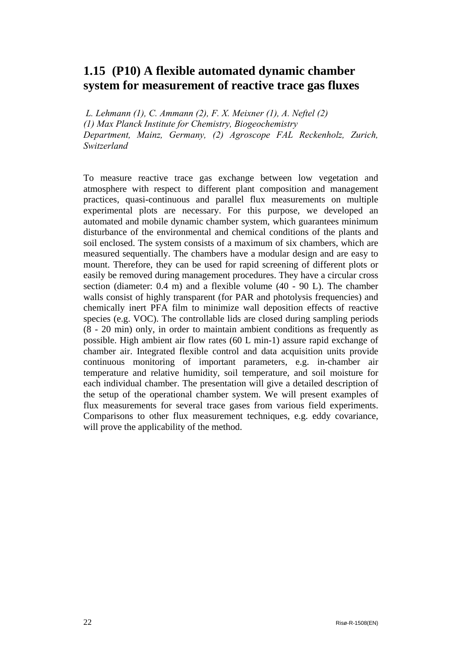## <span id="page-22-0"></span>**1.15 (P10) A flexible automated dynamic chamber system for measurement of reactive trace gas fluxes**

 *L. Lehmann (1), C. Ammann (2), F. X. Meixner (1), A. Neftel (2) (1) Max Planck Institute for Chemistry, Biogeochemistry Department, Mainz, Germany, (2) Agroscope FAL Reckenholz, Zurich, Switzerland* 

To measure reactive trace gas exchange between low vegetation and atmosphere with respect to different plant composition and management practices, quasi-continuous and parallel flux measurements on multiple experimental plots are necessary. For this purpose, we developed an automated and mobile dynamic chamber system, which guarantees minimum disturbance of the environmental and chemical conditions of the plants and soil enclosed. The system consists of a maximum of six chambers, which are measured sequentially. The chambers have a modular design and are easy to mount. Therefore, they can be used for rapid screening of different plots or easily be removed during management procedures. They have a circular cross section (diameter: 0.4 m) and a flexible volume (40 - 90 L). The chamber walls consist of highly transparent (for PAR and photolysis frequencies) and chemically inert PFA film to minimize wall deposition effects of reactive species (e.g. VOC). The controllable lids are closed during sampling periods (8 - 20 min) only, in order to maintain ambient conditions as frequently as possible. High ambient air flow rates (60 L min-1) assure rapid exchange of chamber air. Integrated flexible control and data acquisition units provide continuous monitoring of important parameters, e.g. in-chamber air temperature and relative humidity, soil temperature, and soil moisture for each individual chamber. The presentation will give a detailed description of the setup of the operational chamber system. We will present examples of flux measurements for several trace gases from various field experiments. Comparisons to other flux measurement techniques, e.g. eddy covariance, will prove the applicability of the method.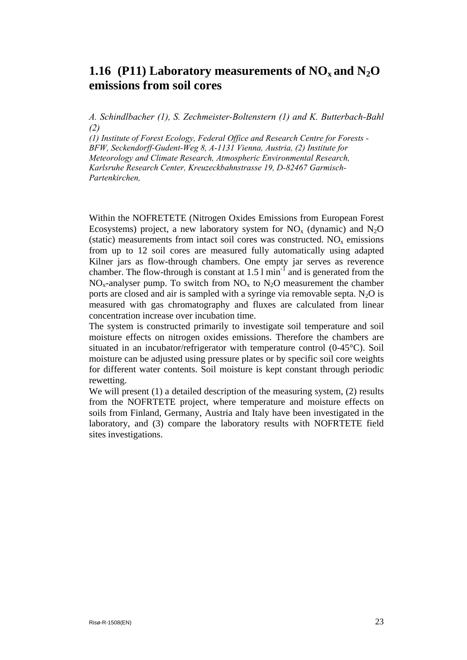## <span id="page-23-0"></span>**1.16** (P11) Laboratory measurements of  $NO<sub>x</sub>$  and  $N<sub>2</sub>O$ **emissions from soil cores**

*A. Schindlbacher (1), S. Zechmeister-Boltenstern (1) and K. Butterbach-Bahl (2)* 

*(1) Institute of Forest Ecology, Federal Office and Research Centre for Forests - BFW, Seckendorff-Gudent-Weg 8, A-1131 Vienna, Austria, (2) Institute for Meteorology and Climate Research, Atmospheric Environmental Research, Karlsruhe Research Center, Kreuzeckbahnstrasse 19, D-82467 Garmisch-Partenkirchen,* 

Within the NOFRETETE (Nitrogen Oxides Emissions from European Forest Ecosystems) project, a new laboratory system for  $NO<sub>x</sub>$  (dynamic) and  $N<sub>2</sub>O$ (static) measurements from intact soil cores was constructed.  $NO<sub>x</sub>$  emissions from up to 12 soil cores are measured fully automatically using adapted Kilner jars as flow-through chambers. One empty jar serves as reverence chamber. The flow-through is constant at  $1.5 \text{ l min}^{-1}$  and is generated from the  $NO<sub>x</sub>$ -analyser pump. To switch from  $NO<sub>x</sub>$  to  $N<sub>2</sub>O$  measurement the chamber ports are closed and air is sampled with a syringe via removable septa. N<sub>2</sub>O is measured with gas chromatography and fluxes are calculated from linear concentration increase over incubation time.

The system is constructed primarily to investigate soil temperature and soil moisture effects on nitrogen oxides emissions. Therefore the chambers are situated in an incubator/refrigerator with temperature control (0-45°C). Soil moisture can be adjusted using pressure plates or by specific soil core weights for different water contents. Soil moisture is kept constant through periodic rewetting.

We will present (1) a detailed description of the measuring system, (2) results from the NOFRTETE project, where temperature and moisture effects on soils from Finland, Germany, Austria and Italy have been investigated in the laboratory, and (3) compare the laboratory results with NOFRTETE field sites investigations.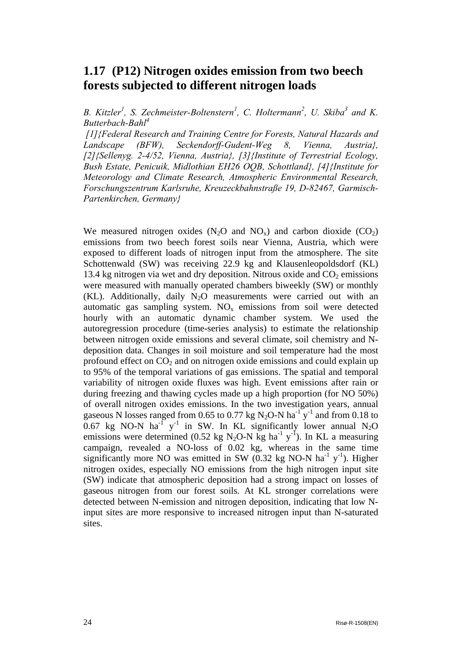## <span id="page-24-0"></span>**1.17 (P12) Nitrogen oxides emission from two beech forests subjected to different nitrogen loads**

*B. Kitzler<sup>1</sup>, S. Zechmeister-Boltenstern<sup>1</sup>, C. Holtermann<sup>2</sup>, U. Skiba<sup>3</sup> and K. Butterbach-Bahl<sup>4</sup>*

 *[1][{Federal Research and Training Centre for Forests, Natural Hazards and](http://bfw.ac.at/index-en.html)  [Landscape](http://bfw.ac.at/index-en.html) (BFW), Seckendorff-Gudent-Weg 8, Vienna, Austria}, [2]{Sellenyg. 2-4/52, Vienna, Austria}, [3]{Institute of Terrestrial Ecology, Bush Estate, Penicuik, Midlothian EH26 OQB, Schottland}, [4]{Institute for Meteorology and Climate Research, Atmospheric Environmental Research, Forschungszentrum Karlsruhe, Kreuzeckbahnstraße 19, D-82467, Garmisch-Partenkirchen, Germany}*

We measured nitrogen oxides  $(N_2O)$  and  $NO_x)$  and carbon dioxide  $(CO_2)$ emissions from two beech forest soils near Vienna, Austria, which were exposed to different loads of nitrogen input from the atmosphere. The site Schottenwald (SW) was receiving 22.9 kg and Klausenleopoldsdorf (KL) 13.4 kg nitrogen via wet and dry deposition. Nitrous oxide and  $CO<sub>2</sub>$  emissions were measured with manually operated chambers biweekly (SW) or monthly  $(KL)$ . Additionally, daily N<sub>2</sub>O measurements were carried out with an automatic gas sampling system.  $NO<sub>x</sub>$  emissions from soil were detected hourly with an automatic dynamic chamber system. We used the autoregression procedure (time-series analysis) to estimate the relationship between nitrogen oxide emissions and several climate, soil chemistry and Ndeposition data. Changes in soil moisture and soil temperature had the most profound effect on  $CO<sub>2</sub>$  and on nitrogen oxide emissions and could explain up to 95% of the temporal variations of gas emissions. The spatial and temporal variability of nitrogen oxide fluxes was high. Event emissions after rain or during freezing and thawing cycles made up a high proportion (for NO 50%) of overall nitrogen oxides emissions. In the two investigation years, annual gaseous N losses ranged from 0.65 to 0.77 kg N<sub>2</sub>O-N ha<sup>-1</sup>  $y$ <sup>-1</sup> and from 0.18 to 0.67 kg NO-N ha<sup>-1</sup> y<sup>-1</sup> in SW. In KL significantly lower annual N<sub>2</sub>O emissions were determined (0.52 kg N<sub>2</sub>O-N kg ha<sup>-1</sup> y<sup>-1</sup>). In KL a measuring campaign, revealed a NO-loss of 0.02 kg, whereas in the same time significantly more NO was emitted in SW  $(0.32 \text{ kg NO-N ha}^{-1} y^{-1})$ . Higher nitrogen oxides, especially NO emissions from the high nitrogen input site (SW) indicate that atmospheric deposition had a strong impact on losses of gaseous nitrogen from our forest soils. At KL stronger correlations were detected between N-emission and nitrogen deposition, indicating that low Ninput sites are more responsive to increased nitrogen input than N-saturated sites.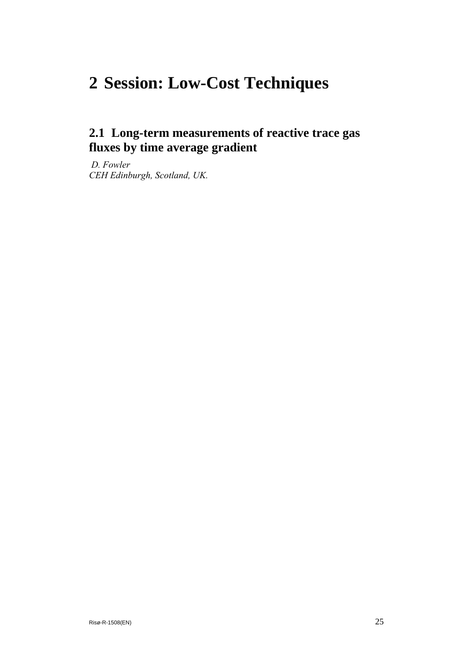# <span id="page-25-0"></span>**2 Session: Low-Cost Techniques**

## **2.1 Long-term measurements of reactive trace gas fluxes by time average gradient**

*D. Fowler CEH Edinburgh, Scotland, UK.*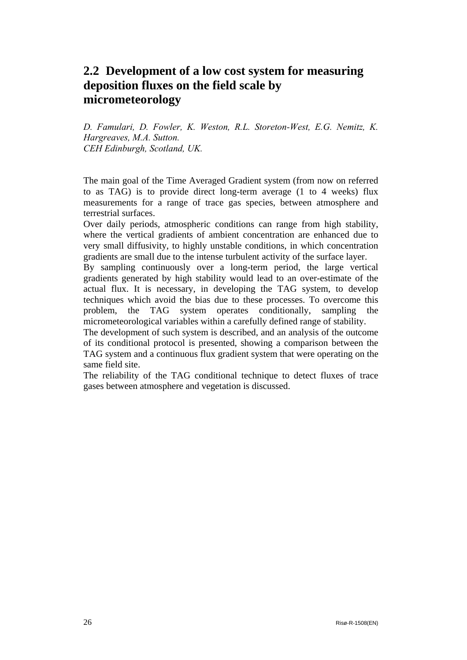## <span id="page-26-0"></span>**2.2 Development of a low cost system for measuring deposition fluxes on the field scale by micrometeorology**

*D. Famulari, D. Fowler, K. Weston, R.L. Storeton-West, E.G. Nemitz, K. Hargreaves, M.A. Sutton. CEH Edinburgh, Scotland, UK.* 

The main goal of the Time Averaged Gradient system (from now on referred to as TAG) is to provide direct long-term average (1 to 4 weeks) flux measurements for a range of trace gas species, between atmosphere and terrestrial surfaces.

Over daily periods, atmospheric conditions can range from high stability, where the vertical gradients of ambient concentration are enhanced due to very small diffusivity, to highly unstable conditions, in which concentration gradients are small due to the intense turbulent activity of the surface layer.

By sampling continuously over a long-term period, the large vertical gradients generated by high stability would lead to an over-estimate of the actual flux. It is necessary, in developing the TAG system, to develop techniques which avoid the bias due to these processes. To overcome this problem, the TAG system operates conditionally, sampling the micrometeorological variables within a carefully defined range of stability.

The development of such system is described, and an analysis of the outcome of its conditional protocol is presented, showing a comparison between the TAG system and a continuous flux gradient system that were operating on the same field site.

The reliability of the TAG conditional technique to detect fluxes of trace gases between atmosphere and vegetation is discussed.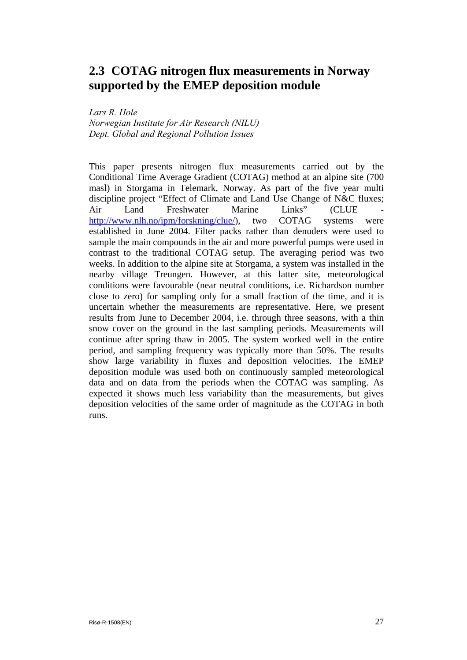## <span id="page-27-0"></span>**2.3 COTAG nitrogen flux measurements in Norway supported by the EMEP deposition module**

*Lars R. Hole Norwegian Institute for Air Research (NILU) Dept. Global and Regional Pollution Issues* 

This paper presents nitrogen flux measurements carried out by the Conditional Time Average Gradient (COTAG) method at an alpine site (700 masl) in Storgama in Telemark, Norway. As part of the five year multi discipline project "Effect of Climate and Land Use Change of N&C fluxes; Air Land Freshwater Marine Links" (CLUE <http://www.nlh.no/ipm/forskning/clue/>), two COTAG systems were established in June 2004. Filter packs rather than denuders were used to sample the main compounds in the air and more powerful pumps were used in contrast to the traditional COTAG setup. The averaging period was two weeks. In addition to the alpine site at Storgama, a system was installed in the nearby village Treungen. However, at this latter site, meteorological conditions were favourable (near neutral conditions, i.e. Richardson number close to zero) for sampling only for a small fraction of the time, and it is uncertain whether the measurements are representative. Here, we present results from June to December 2004, i.e. through three seasons, with a thin snow cover on the ground in the last sampling periods. Measurements will continue after spring thaw in 2005. The system worked well in the entire period, and sampling frequency was typically more than 50%. The results show large variability in fluxes and deposition velocities. The EMEP deposition module was used both on continuously sampled meteorological data and on data from the periods when the COTAG was sampling. As expected it shows much less variability than the measurements, but gives deposition velocities of the same order of magnitude as the COTAG in both runs.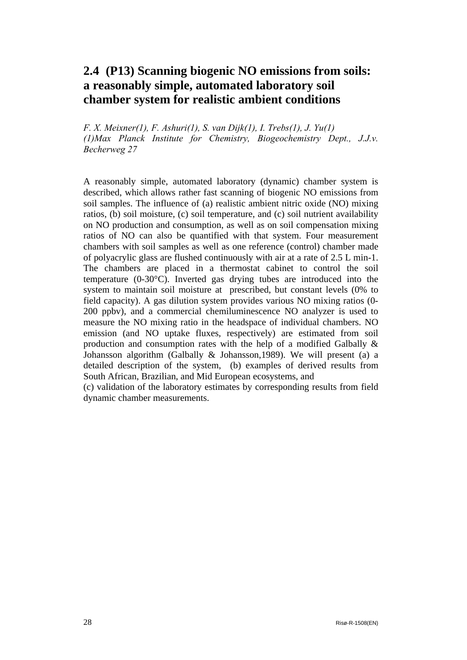## <span id="page-28-0"></span>**2.4 (P13) Scanning biogenic NO emissions from soils: a reasonably simple, automated laboratory soil chamber system for realistic ambient conditions**

*F. X. Meixner(1), F. Ashuri(1), S. van Dijk(1), I. Trebs(1), J. Yu(1) (1)Max Planck Institute for Chemistry, Biogeochemistry Dept., J.J.v. Becherweg 27* 

A reasonably simple, automated laboratory (dynamic) chamber system is described, which allows rather fast scanning of biogenic NO emissions from soil samples. The influence of (a) realistic ambient nitric oxide (NO) mixing ratios, (b) soil moisture, (c) soil temperature, and (c) soil nutrient availability on NO production and consumption, as well as on soil compensation mixing ratios of NO can also be quantified with that system. Four measurement chambers with soil samples as well as one reference (control) chamber made of polyacrylic glass are flushed continuously with air at a rate of 2.5 L min-1. The chambers are placed in a thermostat cabinet to control the soil temperature (0-30°C). Inverted gas drying tubes are introduced into the system to maintain soil moisture at prescribed, but constant levels (0% to field capacity). A gas dilution system provides various NO mixing ratios (0- 200 ppbv), and a commercial chemiluminescence NO analyzer is used to measure the NO mixing ratio in the headspace of individual chambers. NO emission (and NO uptake fluxes, respectively) are estimated from soil production and consumption rates with the help of a modified Galbally & Johansson algorithm (Galbally & Johansson,1989). We will present (a) a detailed description of the system, (b) examples of derived results from South African, Brazilian, and Mid European ecosystems, and

(c) validation of the laboratory estimates by corresponding results from field dynamic chamber measurements.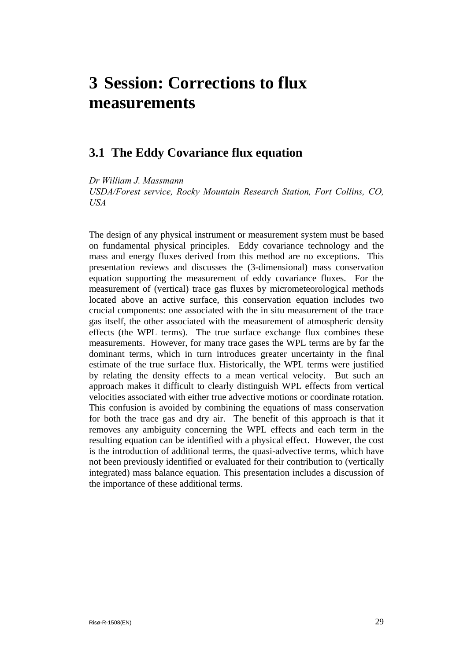# <span id="page-29-0"></span>**3 Session: Corrections to flux measurements**

### **3.1 The Eddy Covariance flux equation**

*Dr William J. Massmann USDA/Forest service, Rocky Mountain Research Station, Fort Collins, CO, USA* 

The design of any physical instrument or measurement system must be based on fundamental physical principles. Eddy covariance technology and the mass and energy fluxes derived from this method are no exceptions. This presentation reviews and discusses the (3-dimensional) mass conservation equation supporting the measurement of eddy covariance fluxes. For the measurement of (vertical) trace gas fluxes by micrometeorological methods located above an active surface, this conservation equation includes two crucial components: one associated with the in situ measurement of the trace gas itself, the other associated with the measurement of atmospheric density effects (the WPL terms). The true surface exchange flux combines these measurements. However, for many trace gases the WPL terms are by far the dominant terms, which in turn introduces greater uncertainty in the final estimate of the true surface flux. Historically, the WPL terms were justified by relating the density effects to a mean vertical velocity. But such an approach makes it difficult to clearly distinguish WPL effects from vertical velocities associated with either true advective motions or coordinate rotation. This confusion is avoided by combining the equations of mass conservation for both the trace gas and dry air. The benefit of this approach is that it removes any ambiguity concerning the WPL effects and each term in the resulting equation can be identified with a physical effect. However, the cost is the introduction of additional terms, the quasi-advective terms, which have not been previously identified or evaluated for their contribution to (vertically integrated) mass balance equation. This presentation includes a discussion of the importance of these additional terms.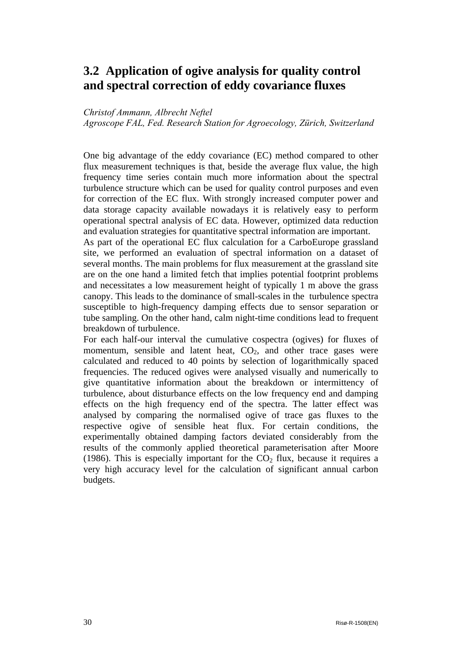## <span id="page-30-0"></span>**3.2 Application of ogive analysis for quality control and spectral correction of eddy covariance fluxes**

#### *Christof Ammann, Albrecht Neftel*

*Agroscope FAL, Fed. Research Station for Agroecology, Zürich, Switzerland* 

One big advantage of the eddy covariance (EC) method compared to other flux measurement techniques is that, beside the average flux value, the high frequency time series contain much more information about the spectral turbulence structure which can be used for quality control purposes and even for correction of the EC flux. With strongly increased computer power and data storage capacity available nowadays it is relatively easy to perform operational spectral analysis of EC data. However, optimized data reduction and evaluation strategies for quantitative spectral information are important.

As part of the operational EC flux calculation for a CarboEurope grassland site, we performed an evaluation of spectral information on a dataset of several months. The main problems for flux measurement at the grassland site are on the one hand a limited fetch that implies potential footprint problems and necessitates a low measurement height of typically 1 m above the grass canopy. This leads to the dominance of small-scales in the turbulence spectra susceptible to high-frequency damping effects due to sensor separation or tube sampling. On the other hand, calm night-time conditions lead to frequent breakdown of turbulence.

For each half-our interval the cumulative cospectra (ogives) for fluxes of momentum, sensible and latent heat,  $CO<sub>2</sub>$ , and other trace gases were calculated and reduced to 40 points by selection of logarithmically spaced frequencies. The reduced ogives were analysed visually and numerically to give quantitative information about the breakdown or intermittency of turbulence, about disturbance effects on the low frequency end and damping effects on the high frequency end of the spectra. The latter effect was analysed by comparing the normalised ogive of trace gas fluxes to the respective ogive of sensible heat flux. For certain conditions, the experimentally obtained damping factors deviated considerably from the results of the commonly applied theoretical parameterisation after Moore (1986). This is especially important for the  $CO<sub>2</sub>$  flux, because it requires a very high accuracy level for the calculation of significant annual carbon budgets.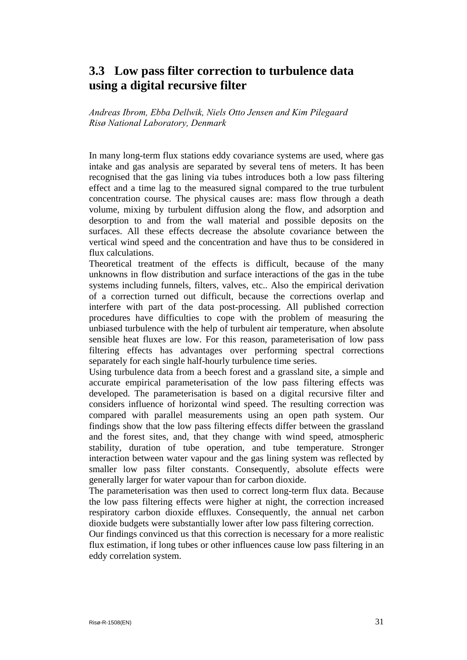## <span id="page-31-0"></span>**3.3 Low pass filter correction to turbulence data using a digital recursive filter**

*Andreas Ibrom, Ebba Dellwik, Niels Otto Jensen and Kim Pilegaard Risø National Laboratory, Denmark* 

In many long-term flux stations eddy covariance systems are used, where gas intake and gas analysis are separated by several tens of meters. It has been recognised that the gas lining via tubes introduces both a low pass filtering effect and a time lag to the measured signal compared to the true turbulent concentration course. The physical causes are: mass flow through a death volume, mixing by turbulent diffusion along the flow, and adsorption and desorption to and from the wall material and possible deposits on the surfaces. All these effects decrease the absolute covariance between the vertical wind speed and the concentration and have thus to be considered in flux calculations.

Theoretical treatment of the effects is difficult, because of the many unknowns in flow distribution and surface interactions of the gas in the tube systems including funnels, filters, valves, etc.. Also the empirical derivation of a correction turned out difficult, because the corrections overlap and interfere with part of the data post-processing. All published correction procedures have difficulties to cope with the problem of measuring the unbiased turbulence with the help of turbulent air temperature, when absolute sensible heat fluxes are low. For this reason, parameterisation of low pass filtering effects has advantages over performing spectral corrections separately for each single half-hourly turbulence time series.

Using turbulence data from a beech forest and a grassland site, a simple and accurate empirical parameterisation of the low pass filtering effects was developed. The parameterisation is based on a digital recursive filter and considers influence of horizontal wind speed. The resulting correction was compared with parallel measurements using an open path system. Our findings show that the low pass filtering effects differ between the grassland and the forest sites, and, that they change with wind speed, atmospheric stability, duration of tube operation, and tube temperature. Stronger interaction between water vapour and the gas lining system was reflected by smaller low pass filter constants. Consequently, absolute effects were generally larger for water vapour than for carbon dioxide.

The parameterisation was then used to correct long-term flux data. Because the low pass filtering effects were higher at night, the correction increased respiratory carbon dioxide effluxes. Consequently, the annual net carbon dioxide budgets were substantially lower after low pass filtering correction.

Our findings convinced us that this correction is necessary for a more realistic flux estimation, if long tubes or other influences cause low pass filtering in an eddy correlation system.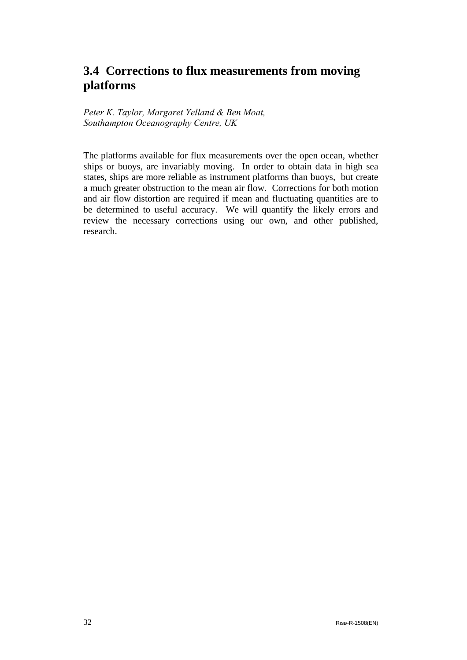## <span id="page-32-0"></span>**3.4 Corrections to flux measurements from moving platforms**

*Peter K. Taylor, Margaret Yelland & Ben Moat, Southampton Oceanography Centre, UK* 

The platforms available for flux measurements over the open ocean, whether ships or buoys, are invariably moving. In order to obtain data in high sea states, ships are more reliable as instrument platforms than buoys, but create a much greater obstruction to the mean air flow. Corrections for both motion and air flow distortion are required if mean and fluctuating quantities are to be determined to useful accuracy. We will quantify the likely errors and review the necessary corrections using our own, and other published, research.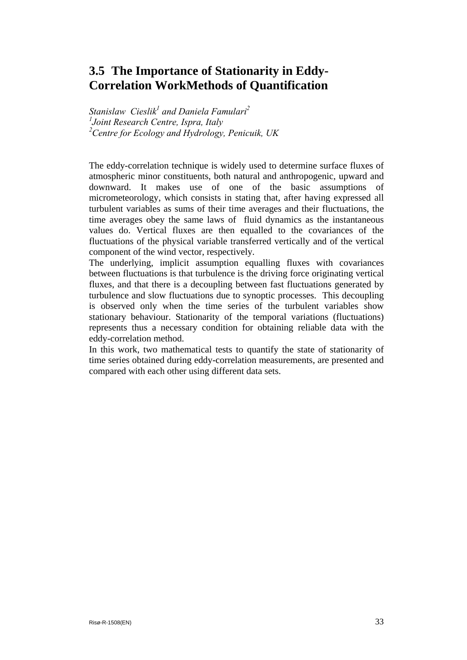## <span id="page-33-0"></span>**3.5 The Importance of Stationarity in Eddy-Correlation WorkMethods of Quantification**

*Stanislaw Cieslik<sup>1</sup> and Daniela Famulari*<sup>2</sup> *1 Joint Research Centre, Ispra, Italy 2 Centre for Ecology and Hydrology, Penicuik, UK*

The eddy-correlation technique is widely used to determine surface fluxes of atmospheric minor constituents, both natural and anthropogenic, upward and downward. It makes use of one of the basic assumptions of micrometeorology, which consists in stating that, after having expressed all turbulent variables as sums of their time averages and their fluctuations, the time averages obey the same laws of fluid dynamics as the instantaneous values do. Vertical fluxes are then equalled to the covariances of the fluctuations of the physical variable transferred vertically and of the vertical component of the wind vector, respectively.

The underlying, implicit assumption equalling fluxes with covariances between fluctuations is that turbulence is the driving force originating vertical fluxes, and that there is a decoupling between fast fluctuations generated by turbulence and slow fluctuations due to synoptic processes. This decoupling is observed only when the time series of the turbulent variables show stationary behaviour. Stationarity of the temporal variations (fluctuations) represents thus a necessary condition for obtaining reliable data with the eddy-correlation method.

In this work, two mathematical tests to quantify the state of stationarity of time series obtained during eddy-correlation measurements, are presented and compared with each other using different data sets.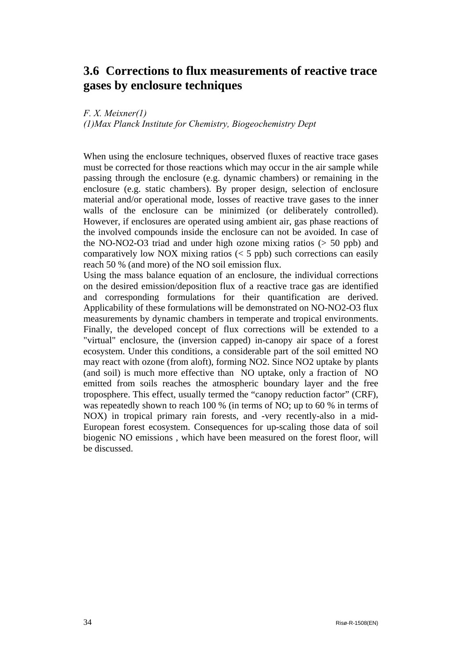### <span id="page-34-0"></span>**3.6 Corrections to flux measurements of reactive trace gases by enclosure techniques**

*F. X. Meixner(1) (1)Max Planck Institute for Chemistry, Biogeochemistry Dept*

When using the enclosure techniques, observed fluxes of reactive trace gases must be corrected for those reactions which may occur in the air sample while passing through the enclosure (e.g. dynamic chambers) or remaining in the enclosure (e.g. static chambers). By proper design, selection of enclosure material and/or operational mode, losses of reactive trave gases to the inner walls of the enclosure can be minimized (or deliberately controlled). However, if enclosures are operated using ambient air, gas phase reactions of the involved compounds inside the enclosure can not be avoided. In case of the NO-NO2-O3 triad and under high ozone mixing ratios (> 50 ppb) and comparatively low NOX mixing ratios  $(< 5$  ppb) such corrections can easily reach 50 % (and more) of the NO soil emission flux.

Using the mass balance equation of an enclosure, the individual corrections on the desired emission/deposition flux of a reactive trace gas are identified and corresponding formulations for their quantification are derived. Applicability of these formulations will be demonstrated on NO-NO2-O3 flux measurements by dynamic chambers in temperate and tropical environments. Finally, the developed concept of flux corrections will be extended to a "virtual" enclosure, the (inversion capped) in-canopy air space of a forest ecosystem. Under this conditions, a considerable part of the soil emitted NO may react with ozone (from aloft), forming NO2. Since NO2 uptake by plants (and soil) is much more effective than NO uptake, only a fraction of NO emitted from soils reaches the atmospheric boundary layer and the free troposphere. This effect, usually termed the "canopy reduction factor" (CRF), was repeatedly shown to reach 100 % (in terms of NO; up to 60 % in terms of NOX) in tropical primary rain forests, and -very recently-also in a mid-European forest ecosystem. Consequences for up-scaling those data of soil biogenic NO emissions , which have been measured on the forest floor, will be discussed.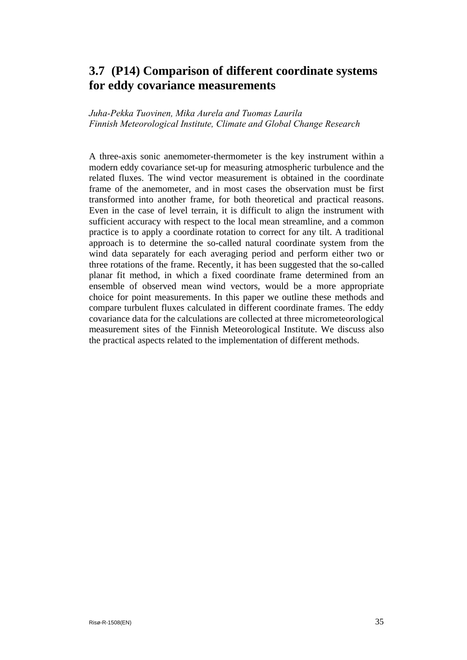## <span id="page-35-0"></span>**3.7 (P14) Comparison of different coordinate systems for eddy covariance measurements**

*Juha-Pekka Tuovinen, Mika Aurela and Tuomas Laurila Finnish Meteorological Institute, Climate and Global Change Research* 

A three-axis sonic anemometer-thermometer is the key instrument within a modern eddy covariance set-up for measuring atmospheric turbulence and the related fluxes. The wind vector measurement is obtained in the coordinate frame of the anemometer, and in most cases the observation must be first transformed into another frame, for both theoretical and practical reasons. Even in the case of level terrain, it is difficult to align the instrument with sufficient accuracy with respect to the local mean streamline, and a common practice is to apply a coordinate rotation to correct for any tilt. A traditional approach is to determine the so-called natural coordinate system from the wind data separately for each averaging period and perform either two or three rotations of the frame. Recently, it has been suggested that the so-called planar fit method, in which a fixed coordinate frame determined from an ensemble of observed mean wind vectors, would be a more appropriate choice for point measurements. In this paper we outline these methods and compare turbulent fluxes calculated in different coordinate frames. The eddy covariance data for the calculations are collected at three micrometeorological measurement sites of the Finnish Meteorological Institute. We discuss also the practical aspects related to the implementation of different methods.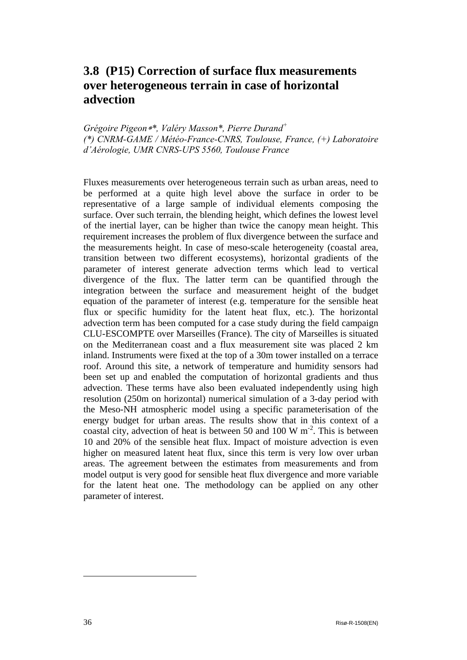## <span id="page-36-1"></span><span id="page-36-0"></span>**3.8 (P15) Correction of surface flux measurements over heterogeneous terrain in case of horizontal advection**

*Grégoire Pigeon*∗*[\\*](#page-36-1), Valéry Masson\*, Pierre Durand<sup>+</sup> (\*) CNRM-GAME / Météo-France-CNRS, Toulouse, France, (+) Laboratoire d'Aérologie, UMR CNRS-UPS 5560, Toulouse France* 

Fluxes measurements over heterogeneous terrain such as urban areas, need to be performed at a quite high level above the surface in order to be representative of a large sample of individual elements composing the surface. Over such terrain, the blending height, which defines the lowest level of the inertial layer, can be higher than twice the canopy mean height. This requirement increases the problem of flux divergence between the surface and the measurements height. In case of meso-scale heterogeneity (coastal area, transition between two different ecosystems), horizontal gradients of the parameter of interest generate advection terms which lead to vertical divergence of the flux. The latter term can be quantified through the integration between the surface and measurement height of the budget equation of the parameter of interest (e.g. temperature for the sensible heat flux or specific humidity for the latent heat flux, etc.). The horizontal advection term has been computed for a case study during the field campaign CLU-ESCOMPTE over Marseilles (France). The city of Marseilles is situated on the Mediterranean coast and a flux measurement site was placed 2 km inland. Instruments were fixed at the top of a 30m tower installed on a terrace roof. Around this site, a network of temperature and humidity sensors had been set up and enabled the computation of horizontal gradients and thus advection. These terms have also been evaluated independently using high resolution (250m on horizontal) numerical simulation of a 3-day period with the Meso-NH atmospheric model using a specific parameterisation of the energy budget for urban areas. The results show that in this context of a coastal city, advection of heat is between 50 and 100 W  $\text{m}^2$ . This is between 10 and 20% of the sensible heat flux. Impact of moisture advection is even higher on measured latent heat flux, since this term is very low over urban areas. The agreement between the estimates from measurements and from model output is very good for sensible heat flux divergence and more variable for the latent heat one. The methodology can be applied on any other parameter of interest.

l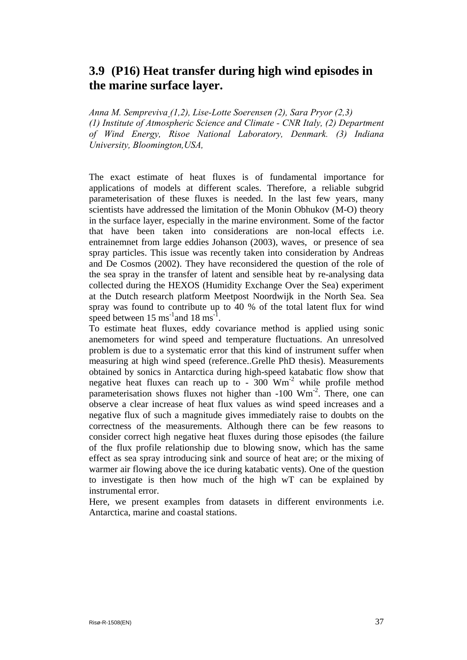## <span id="page-37-0"></span>**3.9 (P16) Heat transfer during high wind episodes in the marine surface layer.**

*Anna M. Sempreviva (1,2), Lise-Lotte Soerensen (2), Sara Pryor (2,3) (1) Institute of Atmospheric Science and Climate - CNR Italy, (2) Department of Wind Energy, Risoe National Laboratory, Denmark. (3) Indiana University, Bloomington,USA,* 

The exact estimate of heat fluxes is of fundamental importance for applications of models at different scales. Therefore, a reliable subgrid parameterisation of these fluxes is needed. In the last few years, many scientists have addressed the limitation of the Monin Obhukov (M-O) theory in the surface layer, especially in the marine environment. Some of the factor that have been taken into considerations are non-local effects i.e. entrainemnet from large eddies Johanson (2003), waves, or presence of sea spray particles. This issue was recently taken into consideration by Andreas and De Cosmos (2002). They have reconsidered the question of the role of the sea spray in the transfer of latent and sensible heat by re-analysing data collected during the HEXOS (Humidity Exchange Over the Sea) experiment at the Dutch research platform Meetpost Noordwijk in the North Sea. Sea spray was found to contribute up to 40 % of the total latent flux for wind speed between  $15 \text{ ms}^{-1}$  and  $18 \text{ ms}^{-1}$ .

To estimate heat fluxes, eddy covariance method is applied using sonic anemometers for wind speed and temperature fluctuations. An unresolved problem is due to a systematic error that this kind of instrument suffer when measuring at high wind speed (reference..Grelle PhD thesis). Measurements obtained by sonics in Antarctica during high-speed katabatic flow show that negative heat fluxes can reach up to -  $300$  Wm<sup>-2</sup> while profile method parameterisation shows fluxes not higher than  $-100 \, \text{Wm}^{-2}$ . There, one can observe a clear increase of heat flux values as wind speed increases and a negative flux of such a magnitude gives immediately raise to doubts on the correctness of the measurements. Although there can be few reasons to consider correct high negative heat fluxes during those episodes (the failure of the flux profile relationship due to blowing snow, which has the same effect as sea spray introducing sink and source of heat are; or the mixing of warmer air flowing above the ice during katabatic vents). One of the question to investigate is then how much of the high wT can be explained by instrumental error.

Here, we present examples from datasets in different environments i.e. Antarctica, marine and coastal stations.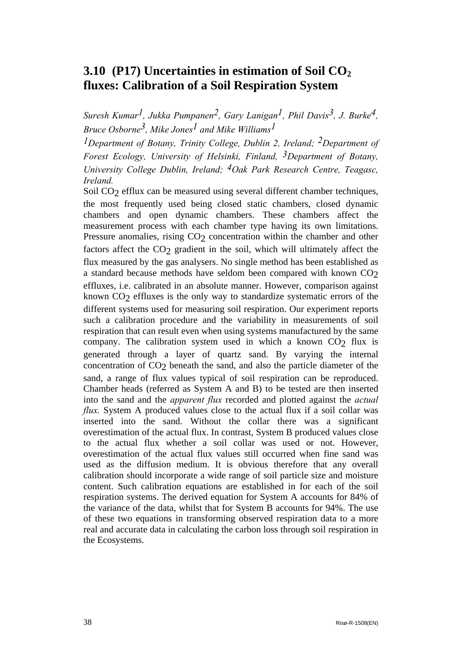## <span id="page-38-0"></span>**3.10 (P17) Uncertainties in estimation of Soil CO<sub>2</sub> fluxes: Calibration of a Soil Respiration System**

*Suresh Kumar1, Jukka Pumpanen2, Gary Lanigan1, Phil Davis3, J. Burke4, Bruce Osborne3, Mike Jones1 and Mike Williams1* 

*1Department of Botany, Trinity College, Dublin 2, Ireland; 2Department of Forest Ecology, University of Helsinki, Finland, 3Department of Botany, University College Dublin, Ireland; 4Oak Park Research Centre, Teagasc, Ireland.* 

Soil CO<sub>2</sub> efflux can be measured using several different chamber techniques, the most frequently used being closed static chambers, closed dynamic chambers and open dynamic chambers. These chambers affect the measurement process with each chamber type having its own limitations. Pressure anomalies, rising CO<sub>2</sub> concentration within the chamber and other factors affect the CO<sub>2</sub> gradient in the soil, which will ultimately affect the flux measured by the gas analysers. No single method has been established as a standard because methods have seldom been compared with known CO2 effluxes, i.e. calibrated in an absolute manner. However, comparison against known  $CO<sub>2</sub>$  effluxes is the only way to standardize systematic errors of the different systems used for measuring soil respiration. Our experiment reports such a calibration procedure and the variability in measurements of soil respiration that can result even when using systems manufactured by the same company. The calibration system used in which a known  $CO<sub>2</sub>$  flux is generated through a layer of quartz sand. By varying the internal concentration of CO2 beneath the sand, and also the particle diameter of the sand, a range of flux values typical of soil respiration can be reproduced. Chamber heads (referred as System A and B) to be tested are then inserted into the sand and the *apparent flux* recorded and plotted against the *actual flux.* System A produced values close to the actual flux if a soil collar was inserted into the sand. Without the collar there was a significant overestimation of the actual flux. In contrast, System B produced values close to the actual flux whether a soil collar was used or not. However, overestimation of the actual flux values still occurred when fine sand was used as the diffusion medium. It is obvious therefore that any overall calibration should incorporate a wide range of soil particle size and moisture content. Such calibration equations are established in for each of the soil respiration systems. The derived equation for System A accounts for 84% of the variance of the data, whilst that for System B accounts for 94%. The use of these two equations in transforming observed respiration data to a more real and accurate data in calculating the carbon loss through soil respiration in the Ecosystems.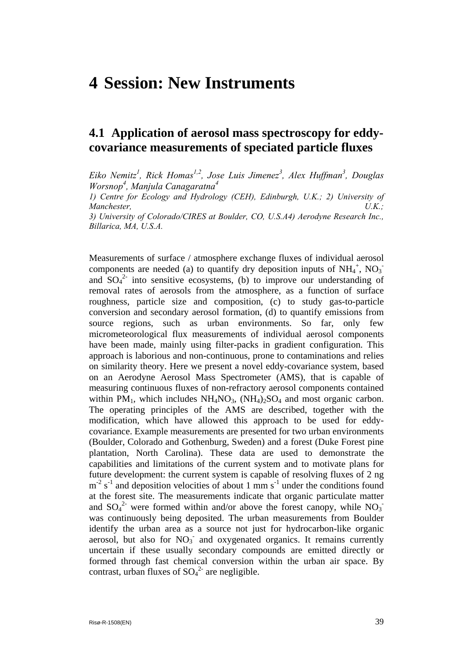# <span id="page-39-0"></span>**4 Session: New Instruments**

## **4.1 Application of aerosol mass spectroscopy for eddycovariance measurements of speciated particle fluxes**

Eiko Nemitz<sup>1</sup>, Rick Homas<sup>1,2</sup>, Jose Luis Jimenez<sup>3</sup>, Alex Huffman<sup>3</sup>, Douglas *Worsnop4 , Manjula Canagaratna4*

*1) Centre for Ecology and Hydrology (CEH), Edinburgh, U.K.; 2) University of Manchester, U.K.;*

*3) University of Colorado/CIRES at Boulder, CO, U.S.A4) Aerodyne Research Inc., Billarica, MA, U.S.A.*

Measurements of surface / atmosphere exchange fluxes of individual aerosol components are needed (a) to quantify dry deposition inputs of  $NH_4^+$ ,  $NO_3^$ and  $SO_4^2$  into sensitive ecosystems, (b) to improve our understanding of removal rates of aerosols from the atmosphere, as a function of surface roughness, particle size and composition, (c) to study gas-to-particle conversion and secondary aerosol formation, (d) to quantify emissions from source regions, such as urban environments. So far, only few micrometeorological flux measurements of individual aerosol components have been made, mainly using filter-packs in gradient configuration. This approach is laborious and non-continuous, prone to contaminations and relies on similarity theory. Here we present a novel eddy-covariance system, based on an Aerodyne Aerosol Mass Spectrometer (AMS), that is capable of measuring continuous fluxes of non-refractory aerosol components contained within PM<sub>1</sub>, which includes  $NH<sub>4</sub>NO<sub>3</sub>$ ,  $(NH<sub>4</sub>)<sub>2</sub>SO<sub>4</sub>$  and most organic carbon. The operating principles of the AMS are described, together with the modification, which have allowed this approach to be used for eddycovariance. Example measurements are presented for two urban environments (Boulder, Colorado and Gothenburg, Sweden) and a forest (Duke Forest pine plantation, North Carolina). These data are used to demonstrate the capabilities and limitations of the current system and to motivate plans for future development: the current system is capable of resolving fluxes of 2 ng  $m<sup>-2</sup>$  s<sup>-1</sup> and deposition velocities of about 1 mm s<sup>-1</sup> under the conditions found at the forest site. The measurements indicate that organic particulate matter and  $SO_4^2$  were formed within and/or above the forest canopy, while  $NO_3^$ was continuously being deposited. The urban measurements from Boulder identify the urban area as a source not just for hydrocarbon-like organic aerosol, but also for  $NO<sub>3</sub>$  and oxygenated organics. It remains currently uncertain if these usually secondary compounds are emitted directly or formed through fast chemical conversion within the urban air space. By contrast, urban fluxes of  $SO_4^2$  are negligible.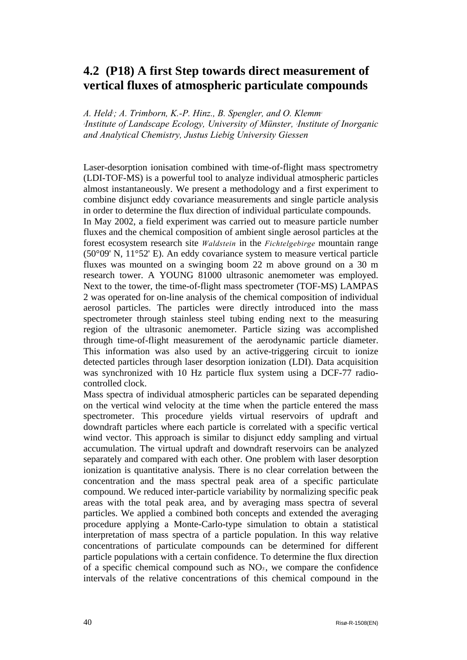## <span id="page-40-0"></span>**4.2 (P18) A first Step towards direct measurement of vertical fluxes of atmospheric particulate compounds**

A. Held<sup>*; A. Trimborn, K.-P. Hinz., B. Spengler, and O. Klemm<sup>1</sup></sup> 1 Institute of Landscape Ecology, University of Münster, 2 Institute of Inorganic and Analytical Chemistry, Justus Liebig University Giessen* 

Laser-desorption ionisation combined with time-of-flight mass spectrometry (LDI-TOF-MS) is a powerful tool to analyze individual atmospheric particles almost instantaneously. We present a methodology and a first experiment to combine disjunct eddy covariance measurements and single particle analysis in order to determine the flux direction of individual particulate compounds.

In May 2002, a field experiment was carried out to measure particle number fluxes and the chemical composition of ambient single aerosol particles at the forest ecosystem research site *Waldstein* in the *Fichtelgebirge* mountain range (50°09' N, 11°52' E). An eddy covariance system to measure vertical particle fluxes was mounted on a swinging boom 22 m above ground on a 30 m research tower. A YOUNG 81000 ultrasonic anemometer was employed. Next to the tower, the time-of-flight mass spectrometer (TOF-MS) LAMPAS 2 was operated for on-line analysis of the chemical composition of individual aerosol particles. The particles were directly introduced into the mass spectrometer through stainless steel tubing ending next to the measuring region of the ultrasonic anemometer. Particle sizing was accomplished through time-of-flight measurement of the aerodynamic particle diameter. This information was also used by an active-triggering circuit to ionize detected particles through laser desorption ionization (LDI). Data acquisition was synchronized with 10 Hz particle flux system using a DCF-77 radiocontrolled clock.

Mass spectra of individual atmospheric particles can be separated depending on the vertical wind velocity at the time when the particle entered the mass spectrometer. This procedure yields virtual reservoirs of updraft and downdraft particles where each particle is correlated with a specific vertical wind vector. This approach is similar to disjunct eddy sampling and virtual accumulation. The virtual updraft and downdraft reservoirs can be analyzed separately and compared with each other. One problem with laser desorption ionization is quantitative analysis. There is no clear correlation between the concentration and the mass spectral peak area of a specific particulate compound. We reduced inter-particle variability by normalizing specific peak areas with the total peak area, and by averaging mass spectra of several particles. We applied a combined both concepts and extended the averaging procedure applying a Monte-Carlo-type simulation to obtain a statistical interpretation of mass spectra of a particle population. In this way relative concentrations of particulate compounds can be determined for different particle populations with a certain confidence. To determine the flux direction of a specific chemical compound such as  $NO<sub>3</sub>$ , we compare the confidence intervals of the relative concentrations of this chemical compound in the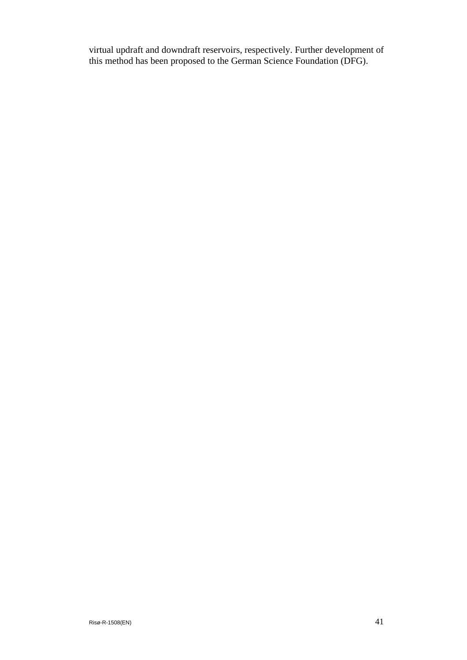virtual updraft and downdraft reservoirs, respectively. Further development of this method has been proposed to the German Science Foundation (DFG).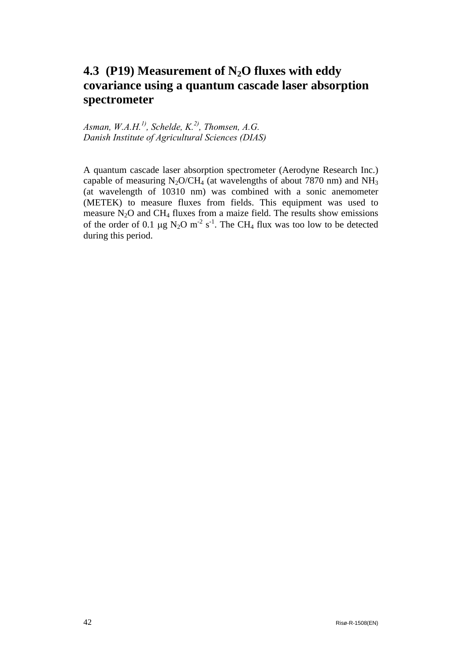## <span id="page-42-0"></span>**4.3 (P19) Measurement of N2O fluxes with eddy covariance using a quantum cascade laser absorption spectrometer**

Asman,  $W.A.H.<sup>1</sup>$ , Schelde,  $K.<sup>2</sup>$ , Thomsen, A.G. *Danish Institute of Agricultural Sciences (DIAS)* 

A quantum cascade laser absorption spectrometer (Aerodyne Research Inc.) capable of measuring  $N_2O/CH_4$  (at wavelengths of about 7870 nm) and  $NH_3$ (at wavelength of 10310 nm) was combined with a sonic anemometer (METEK) to measure fluxes from fields. This equipment was used to measure  $N_2O$  and CH<sub>4</sub> fluxes from a maize field. The results show emissions of the order of 0.1  $\mu$ g N<sub>2</sub>O m<sup>-2</sup> s<sup>-1</sup>. The CH<sub>4</sub> flux was too low to be detected during this period.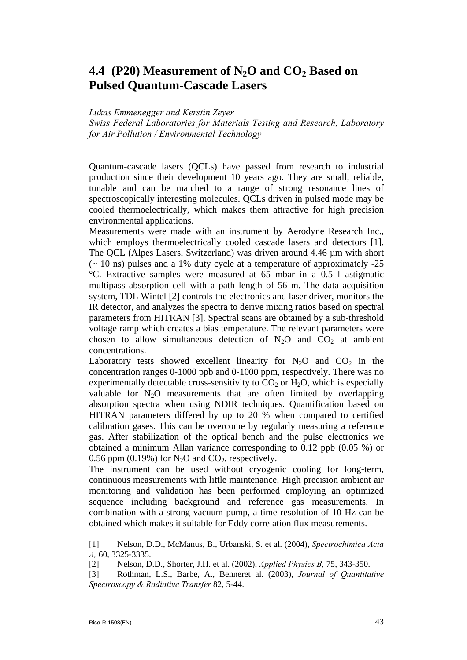## <span id="page-43-0"></span>**4.4** (P20) Measurement of N<sub>2</sub>O and CO<sub>2</sub> Based on **Pulsed Quantum-Cascade Lasers**

#### *Lukas Emmenegger and Kerstin Zeyer*

*Swiss Federal Laboratories for Materials Testing and Research, Laboratory for Air Pollution / Environmental Technology* 

Quantum-cascade lasers (QCLs) have passed from research to industrial production since their development 10 years ago. They are small, reliable, tunable and can be matched to a range of strong resonance lines of spectroscopically interesting molecules. QCLs driven in pulsed mode may be cooled thermoelectrically, which makes them attractive for high precision environmental applications.

Measurements were made with an instrument by Aerodyne Research Inc., which employs thermoelectrically cooled cascade lasers and detectors [1]. The QCL (Alpes Lasers, Switzerland) was driven around 4.46 µm with short  $\sim$  10 ns) pulses and a 1% duty cycle at a temperature of approximately -25 °C. Extractive samples were measured at 65 mbar in a 0.5 l astigmatic multipass absorption cell with a path length of 56 m. The data acquisition system, TDL Wintel [2] controls the electronics and laser driver, monitors the IR detector, and analyzes the spectra to derive mixing ratios based on spectral parameters from HITRAN [3]. Spectral scans are obtained by a sub-threshold voltage ramp which creates a bias temperature. The relevant parameters were chosen to allow simultaneous detection of  $N_2O$  and  $CO_2$  at ambient concentrations.

Laboratory tests showed excellent linearity for  $N_2O$  and  $CO_2$  in the concentration ranges 0-1000 ppb and 0-1000 ppm, respectively. There was no experimentally detectable cross-sensitivity to  $CO<sub>2</sub>$  or  $H<sub>2</sub>O$ , which is especially valuable for  $N_2O$  measurements that are often limited by overlapping absorption spectra when using NDIR techniques. Quantification based on HITRAN parameters differed by up to 20 % when compared to certified calibration gases. This can be overcome by regularly measuring a reference gas. After stabilization of the optical bench and the pulse electronics we obtained a minimum Allan variance corresponding to 0.12 ppb (0.05 %) or 0.56 ppm (0.19%) for  $N_2O$  and  $CO_2$ , respectively.

The instrument can be used without cryogenic cooling for long-term, continuous measurements with little maintenance. High precision ambient air monitoring and validation has been performed employing an optimized sequence including background and reference gas measurements. In combination with a strong vacuum pump, a time resolution of 10 Hz can be obtained which makes it suitable for Eddy correlation flux measurements.

[1] Nelson, D.D., McManus, B., Urbanski, S. et al. (2004), *Spectrochimica Acta A,* 60, 3325-3335.

[2] Nelson, D.D., Shorter, J.H. et al. (2002), *Applied Physics B,* 75, 343-350.

[3] Rothman, L.S., Barbe, A., Benneret al. (2003), *Journal of Quantitative Spectroscopy & Radiative Transfer* 82, 5-44.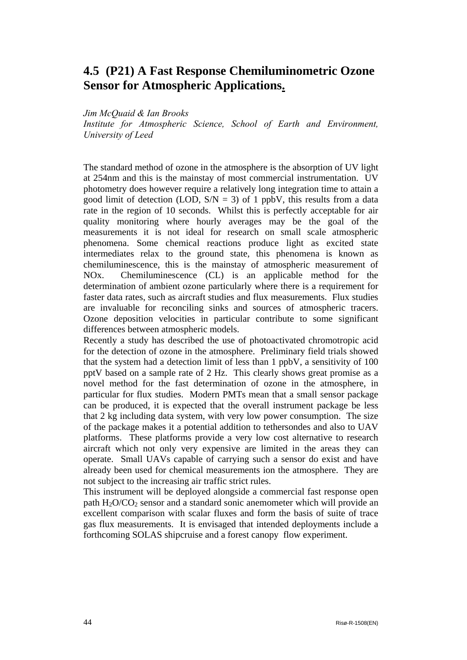## <span id="page-44-0"></span>**4.5 (P21) A Fast Response Chemiluminometric Ozone Sensor for Atmospheric Applications.**

*Jim McQuaid & Ian Brooks* 

*Institute for Atmospheric Science, School of Earth and Environment, University of Leed* 

The standard method of ozone in the atmosphere is the absorption of UV light at 254nm and this is the mainstay of most commercial instrumentation. UV photometry does however require a relatively long integration time to attain a good limit of detection (LOD,  $S/N = 3$ ) of 1 ppbV, this results from a data rate in the region of 10 seconds. Whilst this is perfectly acceptable for air quality monitoring where hourly averages may be the goal of the measurements it is not ideal for research on small scale atmospheric phenomena. Some chemical reactions produce light as excited state intermediates relax to the ground state, this phenomena is known as chemiluminescence, this is the mainstay of atmospheric measurement of NOx. Chemiluminescence (CL) is an applicable method for the determination of ambient ozone particularly where there is a requirement for faster data rates, such as aircraft studies and flux measurements. Flux studies are invaluable for reconciling sinks and sources of atmospheric tracers. Ozone deposition velocities in particular contribute to some significant differences between atmospheric models.

Recently a study has described the use of photoactivated chromotropic acid for the detection of ozone in the atmosphere. Preliminary field trials showed that the system had a detection limit of less than 1 ppbV, a sensitivity of 100 pptV based on a sample rate of 2 Hz. This clearly shows great promise as a novel method for the fast determination of ozone in the atmosphere, in particular for flux studies. Modern PMTs mean that a small sensor package can be produced, it is expected that the overall instrument package be less that 2 kg including data system, with very low power consumption. The size of the package makes it a potential addition to tethersondes and also to UAV platforms. These platforms provide a very low cost alternative to research aircraft which not only very expensive are limited in the areas they can operate. Small UAVs capable of carrying such a sensor do exist and have already been used for chemical measurements ion the atmosphere. They are not subject to the increasing air traffic strict rules.

This instrument will be deployed alongside a commercial fast response open path  $H_2O/CO_2$  sensor and a standard sonic anemometer which will provide an excellent comparison with scalar fluxes and form the basis of suite of trace gas flux measurements. It is envisaged that intended deployments include a forthcoming SOLAS shipcruise and a forest canopy flow experiment.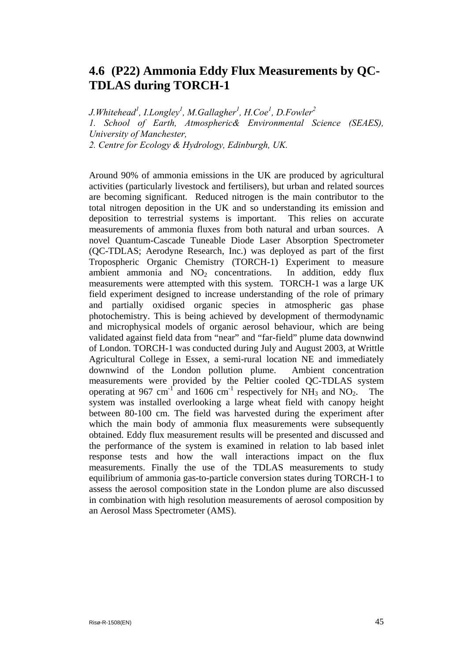## <span id="page-45-0"></span>**4.6 (P22) Ammonia Eddy Flux Measurements by QC-TDLAS during TORCH-1**

*J.Whitehead1 , I.Longley1 , M.Gallagher 1 , H.Coe<sup>1</sup> , D.Fowler2 1. School of Earth, Atmospheric& Environmental Science (SEAES), University of Manchester, 2. Centre for Ecology & Hydrology, Edinburgh, UK.*

Around 90% of ammonia emissions in the UK are produced by agricultural activities (particularly livestock and fertilisers), but urban and related sources are becoming significant. Reduced nitrogen is the main contributor to the total nitrogen deposition in the UK and so understanding its emission and deposition to terrestrial systems is important. This relies on accurate measurements of ammonia fluxes from both natural and urban sources. A novel Quantum-Cascade Tuneable Diode Laser Absorption Spectrometer (QC-TDLAS; Aerodyne Research, Inc.) was deployed as part of the first Tropospheric Organic Chemistry (TORCH-1) Experiment to measure ambient ammonia and  $NO<sub>2</sub>$  concentrations. In addition, eddy flux measurements were attempted with this system. TORCH-1 was a large UK field experiment designed to increase understanding of the role of primary and partially oxidised organic species in atmospheric gas phase photochemistry. This is being achieved by development of thermodynamic and microphysical models of organic aerosol behaviour, which are being validated against field data from "near" and "far-field" plume data downwind of London. TORCH-1 was conducted during July and August 2003, at Writtle Agricultural College in Essex, a semi-rural location NE and immediately downwind of the London pollution plume. Ambient concentration measurements were provided by the Peltier cooled QC-TDLAS system operating at 967 cm<sup>-1</sup> and 1606 cm<sup>-1</sup> respectively for  $\overrightarrow{NH_3}$  and  $\overrightarrow{NO_2}$ . The system was installed overlooking a large wheat field with canopy height between 80-100 cm. The field was harvested during the experiment after which the main body of ammonia flux measurements were subsequently obtained. Eddy flux measurement results will be presented and discussed and the performance of the system is examined in relation to lab based inlet response tests and how the wall interactions impact on the flux measurements. Finally the use of the TDLAS measurements to study equilibrium of ammonia gas-to-particle conversion states during TORCH-1 to assess the aerosol composition state in the London plume are also discussed in combination with high resolution measurements of aerosol composition by an Aerosol Mass Spectrometer (AMS).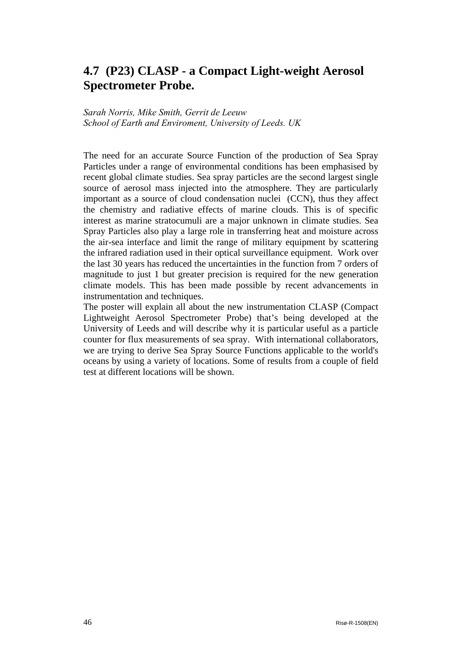## <span id="page-46-0"></span>**4.7 (P23) CLASP - a Compact Light-weight Aerosol Spectrometer Probe.**

#### *Sarah Norris, Mike Smith, Gerrit de Leeuw School of Earth and Enviroment, University of Leeds. UK*

The need for an accurate Source Function of the production of Sea Spray Particles under a range of environmental conditions has been emphasised by recent global climate studies. Sea spray particles are the second largest single source of aerosol mass injected into the atmosphere. They are particularly important as a source of cloud condensation nuclei (CCN), thus they affect the chemistry and radiative effects of marine clouds. This is of specific interest as marine stratocumuli are a major unknown in climate studies. Sea Spray Particles also play a large role in transferring heat and moisture across the air-sea interface and limit the range of military equipment by scattering the infrared radiation used in their optical surveillance equipment. Work over the last 30 years has reduced the uncertainties in the function from 7 orders of magnitude to just 1 but greater precision is required for the new generation climate models. This has been made possible by recent advancements in instrumentation and techniques.

The poster will explain all about the new instrumentation CLASP (Compact Lightweight Aerosol Spectrometer Probe) that's being developed at the University of Leeds and will describe why it is particular useful as a particle counter for flux measurements of sea spray. With international collaborators, we are trying to derive Sea Spray Source Functions applicable to the world's oceans by using a variety of locations. Some of results from a couple of field test at different locations will be shown.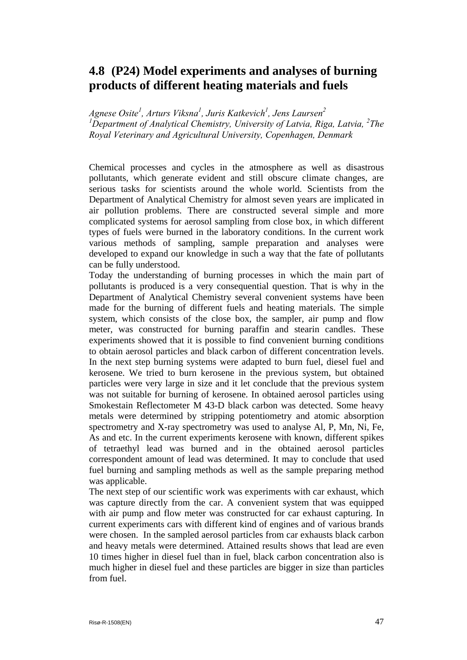## <span id="page-47-0"></span>**4.8 (P24) Model experiments and analyses of burning products of different heating materials and fuels**

*Agnese Osite<sup>1</sup> , Arturs Viksna1 , Juris Katkevich1 , Jens Laursen2* <sup>1</sup>Department of Analytical Chemistry, University of Latvia, Riga, Latvia, <sup>2</sup>The *Royal Veterinary and Agricultural University, Copenhagen, Denmark* 

Chemical processes and cycles in the atmosphere as well as disastrous pollutants, which generate evident and still obscure climate changes, are serious tasks for scientists around the whole world. Scientists from the Department of Analytical Chemistry for almost seven years are implicated in air pollution problems. There are constructed several simple and more complicated systems for aerosol sampling from close box, in which different types of fuels were burned in the laboratory conditions. In the current work various methods of sampling, sample preparation and analyses were developed to expand our knowledge in such a way that the fate of pollutants can be fully understood.

Today the understanding of burning processes in which the main part of pollutants is produced is a very consequential question. That is why in the Department of Analytical Chemistry several convenient systems have been made for the burning of different fuels and heating materials. The simple system, which consists of the close box, the sampler, air pump and flow meter, was constructed for burning paraffin and stearin candles. These experiments showed that it is possible to find convenient burning conditions to obtain aerosol particles and black carbon of different concentration levels. In the next step burning systems were adapted to burn fuel, diesel fuel and kerosene. We tried to burn kerosene in the previous system, but obtained particles were very large in size and it let conclude that the previous system was not suitable for burning of kerosene. In obtained aerosol particles using Smokestain Reflectometer M 43-D black carbon was detected. Some heavy metals were determined by stripping potentiometry and atomic absorption spectrometry and X-ray spectrometry was used to analyse Al, P, Mn, Ni, Fe, As and etc. In the current experiments kerosene with known, different spikes of tetraethyl lead was burned and in the obtained aerosol particles correspondent amount of lead was determined. It may to conclude that used fuel burning and sampling methods as well as the sample preparing method was applicable.

The next step of our scientific work was experiments with car exhaust, which was capture directly from the car. A convenient system that was equipped with air pump and flow meter was constructed for car exhaust capturing. In current experiments cars with different kind of engines and of various brands were chosen. In the sampled aerosol particles from car exhausts black carbon and heavy metals were determined. Attained results shows that lead are even 10 times higher in diesel fuel than in fuel, black carbon concentration also is much higher in diesel fuel and these particles are bigger in size than particles from fuel.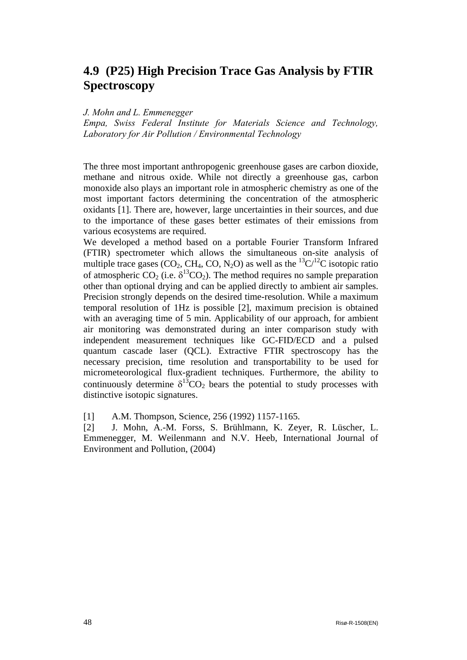## <span id="page-48-0"></span>**4.9 (P25) High Precision Trace Gas Analysis by FTIR Spectroscopy**

#### *J. Mohn and L. Emmenegger*

*Empa, Swiss Federal Institute for Materials Science and Technology, Laboratory for Air Pollution / Environmental Technology* 

The three most important anthropogenic greenhouse gases are carbon dioxide, methane and nitrous oxide. While not directly a greenhouse gas, carbon monoxide also plays an important role in atmospheric chemistry as one of the most important factors determining the concentration of the atmospheric oxidants [1]. There are, however, large uncertainties in their sources, and due to the importance of these gases better estimates of their emissions from various ecosystems are required.

We developed a method based on a portable Fourier Transform Infrared (FTIR) spectrometer which allows the simultaneous on-site analysis of multiple trace gases (CO<sub>2</sub>, CH<sub>4</sub>, CO, N<sub>2</sub>O) as well as the <sup>13</sup>C/<sup>12</sup>C isotopic ratio of atmospheric CO<sub>2</sub> (i.e.  $\delta^{13}CO_2$ ). The method requires no sample preparation other than optional drying and can be applied directly to ambient air samples. Precision strongly depends on the desired time-resolution. While a maximum temporal resolution of 1Hz is possible [2], maximum precision is obtained with an averaging time of 5 min. Applicability of our approach, for ambient air monitoring was demonstrated during an inter comparison study with independent measurement techniques like GC-FID/ECD and a pulsed quantum cascade laser (QCL). Extractive FTIR spectroscopy has the necessary precision, time resolution and transportability to be used for micrometeorological flux-gradient techniques. Furthermore, the ability to continuously determine  $\delta^{13}CO_2$  bears the potential to study processes with distinctive isotopic signatures.

[1] A.M. Thompson, Science, 256 (1992) 1157-1165.

[2] J. Mohn, A.-M. Forss, S. Brühlmann, K. Zeyer, R. Lüscher, L. Emmenegger, M. Weilenmann and N.V. Heeb, International Journal of Environment and Pollution, (2004)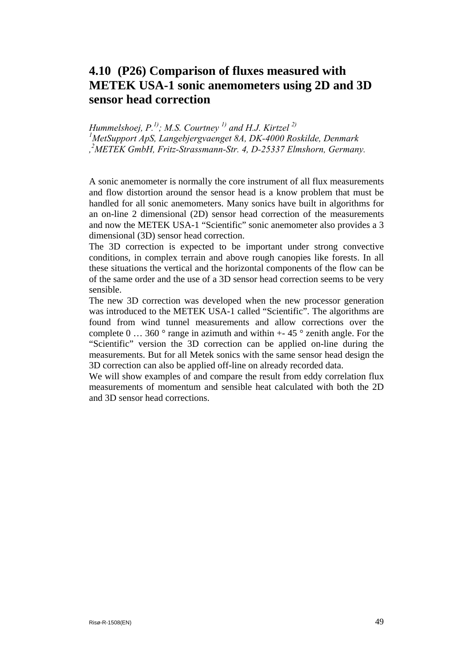## <span id="page-49-0"></span>**4.10 (P26) Comparison of fluxes measured with METEK USA-1 sonic anemometers using 2D and 3D sensor head correction**

*Hummelshoej, P.<sup>1)</sup>; M.S. Courtney<sup>1)</sup> and H.J. Kirtzel<sup>2)</sup> MetSupport ApS, Langebjergvaenget 8A, DK-4000 Roskilde, Denmark , 2 METEK GmbH, Fritz-Strassmann-Str. 4, D-25337 Elmshorn, Germany.* 

A sonic anemometer is normally the core instrument of all flux measurements and flow distortion around the sensor head is a know problem that must be handled for all sonic anemometers. Many sonics have built in algorithms for an on-line 2 dimensional (2D) sensor head correction of the measurements and now the METEK USA-1 "Scientific" sonic anemometer also provides a 3 dimensional (3D) sensor head correction.

The 3D correction is expected to be important under strong convective conditions, in complex terrain and above rough canopies like forests. In all these situations the vertical and the horizontal components of the flow can be of the same order and the use of a 3D sensor head correction seems to be very sensible.

The new 3D correction was developed when the new processor generation was introduced to the METEK USA-1 called "Scientific". The algorithms are found from wind tunnel measurements and allow corrections over the complete 0 ... 360  $\degree$  range in azimuth and within  $+$ -45  $\degree$  zenith angle. For the "Scientific" version the 3D correction can be applied on-line during the measurements. But for all Metek sonics with the same sensor head design the 3D correction can also be applied off-line on already recorded data.

We will show examples of and compare the result from eddy correlation flux measurements of momentum and sensible heat calculated with both the 2D and 3D sensor head corrections.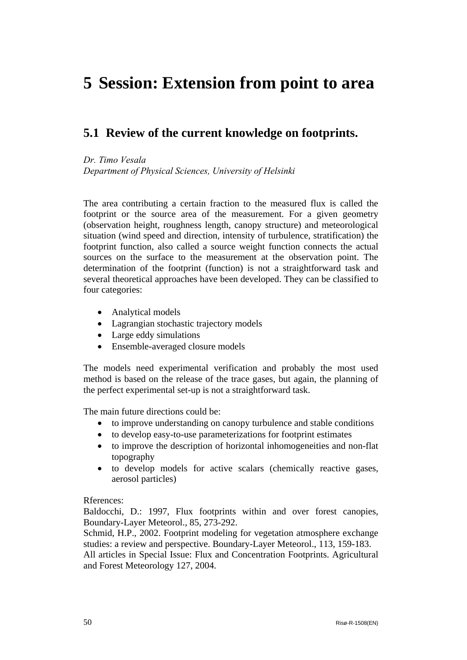# <span id="page-50-0"></span>**5 Session: Extension from point to area**

### **5.1 Review of the current knowledge on footprints.**

*Dr. Timo Vesala* 

*Department of Physical Sciences, University of Helsinki*

The area contributing a certain fraction to the measured flux is called the footprint or the source area of the measurement. For a given geometry (observation height, roughness length, canopy structure) and meteorological situation (wind speed and direction, intensity of turbulence, stratification) the footprint function, also called a source weight function connects the actual sources on the surface to the measurement at the observation point. The determination of the footprint (function) is not a straightforward task and several theoretical approaches have been developed. They can be classified to four categories:

- Analytical models
- Lagrangian stochastic trajectory models
- Large eddy simulations
- Ensemble-averaged closure models

The models need experimental verification and probably the most used method is based on the release of the trace gases, but again, the planning of the perfect experimental set-up is not a straightforward task.

The main future directions could be:

- to improve understanding on canopy turbulence and stable conditions
- to develop easy-to-use parameterizations for footprint estimates
- to improve the description of horizontal inhomogeneities and non-flat topography
- to develop models for active scalars (chemically reactive gases, aerosol particles)

#### Rferences:

Baldocchi, D.: 1997, Flux footprints within and over forest canopies, Boundary-Layer Meteorol., 85, 273-292.

Schmid, H.P., 2002. Footprint modeling for vegetation atmosphere exchange studies: a review and perspective. Boundary-Layer Meteorol., 113, 159-183.

All articles in Special Issue: Flux and Concentration Footprints. Agricultural and Forest Meteorology 127, 2004.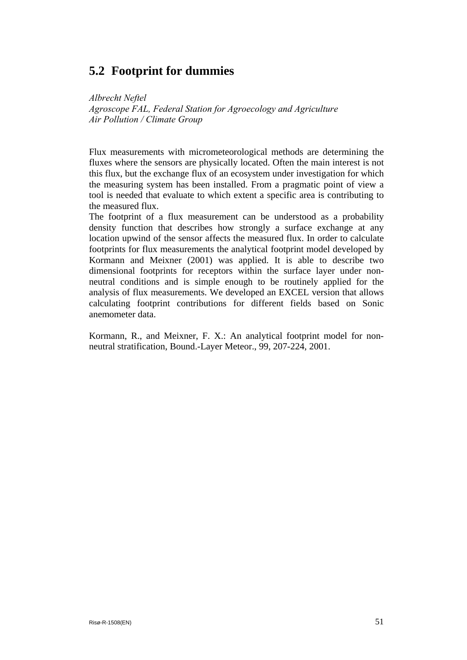## <span id="page-51-0"></span>**5.2 Footprint for dummies**

*Albrecht Neftel* 

*Agroscope FAL, Federal Station for Agroecology and Agriculture Air Pollution / Climate Group* 

Flux measurements with micrometeorological methods are determining the fluxes where the sensors are physically located. Often the main interest is not this flux, but the exchange flux of an ecosystem under investigation for which the measuring system has been installed. From a pragmatic point of view a tool is needed that evaluate to which extent a specific area is contributing to the measured flux.

The footprint of a flux measurement can be understood as a probability density function that describes how strongly a surface exchange at any location upwind of the sensor affects the measured flux. In order to calculate footprints for flux measurements the analytical footprint model developed by Kormann and Meixner (2001) was applied. It is able to describe two dimensional footprints for receptors within the surface layer under nonneutral conditions and is simple enough to be routinely applied for the analysis of flux measurements. We developed an EXCEL version that allows calculating footprint contributions for different fields based on Sonic anemometer data.

Kormann, R., and Meixner, F. X.: An analytical footprint model for nonneutral stratification, Bound.-Layer Meteor., 99, 207-224, 2001.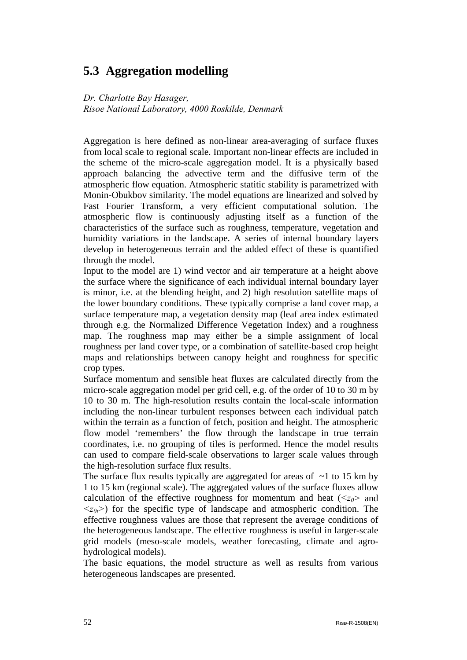## <span id="page-52-0"></span>**5.3 Aggregation modelling**

*Dr. Charlotte Bay Hasager, Risoe National Laboratory, 4000 Roskilde, Denmark* 

Aggregation is here defined as non-linear area-averaging of surface fluxes from local scale to regional scale. Important non-linear effects are included in the scheme of the micro-scale aggregation model. It is a physically based approach balancing the advective term and the diffusive term of the atmospheric flow equation. Atmospheric statitic stability is parametrized with Monin-Obukbov similarity. The model equations are linearized and solved by Fast Fourier Transform, a very efficient computational solution. The atmospheric flow is continuously adjusting itself as a function of the characteristics of the surface such as roughness, temperature, vegetation and humidity variations in the landscape. A series of internal boundary layers develop in heterogeneous terrain and the added effect of these is quantified through the model.

Input to the model are 1) wind vector and air temperature at a height above the surface where the significance of each individual internal boundary layer is minor, i.e. at the blending height, and 2) high resolution satellite maps of the lower boundary conditions. These typically comprise a land cover map, a surface temperature map, a vegetation density map (leaf area index estimated through e.g. the Normalized Difference Vegetation Index) and a roughness map. The roughness map may either be a simple assignment of local roughness per land cover type, or a combination of satellite-based crop height maps and relationships between canopy height and roughness for specific crop types.

Surface momentum and sensible heat fluxes are calculated directly from the micro-scale aggregation model per grid cell, e.g. of the order of 10 to 30 m by 10 to 30 m. The high-resolution results contain the local-scale information including the non-linear turbulent responses between each individual patch within the terrain as a function of fetch, position and height. The atmospheric flow model 'remembers' the flow through the landscape in true terrain coordinates, i.e. no grouping of tiles is performed. Hence the model results can used to compare field-scale observations to larger scale values through the high-resolution surface flux results.

The surface flux results typically are aggregated for areas of  $\sim$ 1 to 15 km by 1 to 15 km (regional scale). The aggregated values of the surface fluxes allow calculation of the effective roughness for momentum and heat  $\langle z_0 \rangle$  and  $\langle z_{0t} \rangle$  for the specific type of landscape and atmospheric condition. The effective roughness values are those that represent the average conditions of the heterogeneous landscape. The effective roughness is useful in larger-scale grid models (meso-scale models, weather forecasting, climate and agrohydrological models).

The basic equations, the model structure as well as results from various heterogeneous landscapes are presented.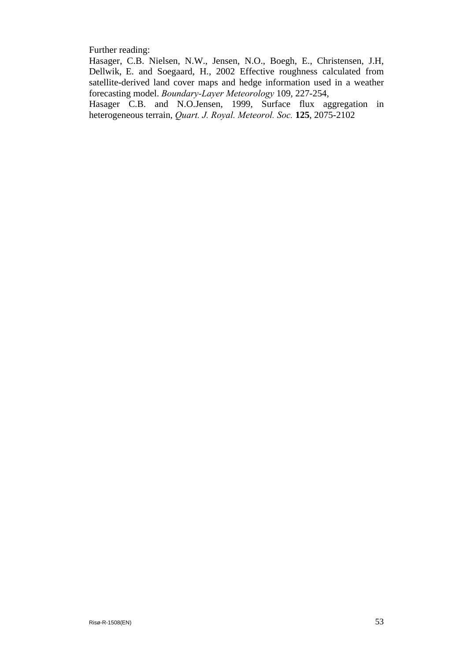Further reading:

Hasager, C.B. Nielsen, N.W., Jensen, N.O., Boegh, E., Christensen, J.H, Dellwik, E. and Soegaard, H., 2002 Effective roughness calculated from satellite-derived land cover maps and hedge information used in a weather forecasting model. *Boundary-Layer Meteorology* 109, 227-254,

Hasager C.B. and N.O.Jensen, 1999, Surface flux aggregation in heterogeneous terrain, *Quart. J. Royal. Meteorol. Soc.* **125**, 2075-2102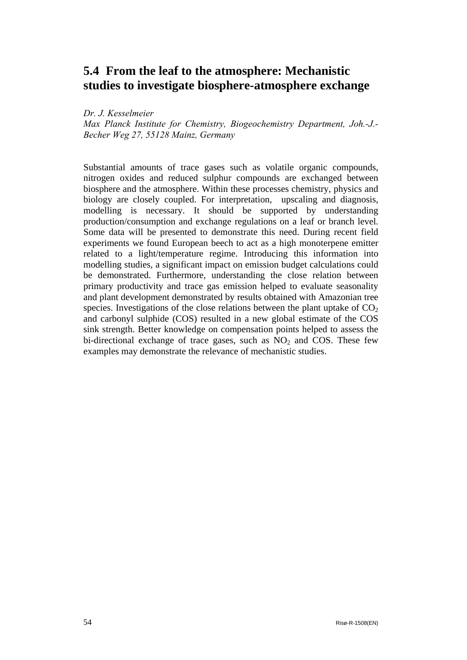## <span id="page-54-0"></span>**5.4 From the leaf to the atmosphere: Mechanistic studies to investigate biosphere-atmosphere exchange**

*Dr. J. Kesselmeier* 

*Max Planck Institute for Chemistry, Biogeochemistry Department, Joh.-J.- Becher Weg 27, 55128 Mainz, Germany* 

Substantial amounts of trace gases such as volatile organic compounds, nitrogen oxides and reduced sulphur compounds are exchanged between biosphere and the atmosphere. Within these processes chemistry, physics and biology are closely coupled. For interpretation, upscaling and diagnosis, modelling is necessary. It should be supported by understanding production/consumption and exchange regulations on a leaf or branch level. Some data will be presented to demonstrate this need. During recent field experiments we found European beech to act as a high monoterpene emitter related to a light/temperature regime. Introducing this information into modelling studies, a significant impact on emission budget calculations could be demonstrated. Furthermore, understanding the close relation between primary productivity and trace gas emission helped to evaluate seasonality and plant development demonstrated by results obtained with Amazonian tree species. Investigations of the close relations between the plant uptake of  $CO<sub>2</sub>$ and carbonyl sulphide (COS) resulted in a new global estimate of the COS sink strength. Better knowledge on compensation points helped to assess the bi-directional exchange of trace gases, such as  $NO<sub>2</sub>$  and COS. These few examples may demonstrate the relevance of mechanistic studies.